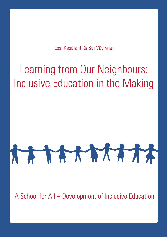What is the state of inclusive education in the neighbouring Essi Kesälahti & Sai Väyrynen countries of Sweden<br>Russia and Finland

# Learning from Our Neighbours: Inclusive Education in the Making

# ATATATATA

A School for All – Development of Inclusive Education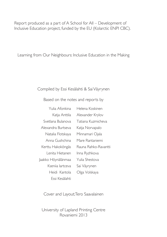Report produced as a part of A School for All – Development of Inclusive Education project, funded by the EU (Kolarctic ENPI CBC).

Learning from Our Neighbours: Inclusive Education in the Making

#### Compiled by Essi Kesälahti & Sai Väyrynen

Based on the notes and reports by

| Yulia Afonkina     | Helena Koskinen      |
|--------------------|----------------------|
| Katja Anttila      | Alexander Krylov     |
| Svetlana Bulanova  | Tatiana Kuzmicheva   |
| Alexandra Burtseva | Katja Norvapalo      |
| Natalia Flotskaya  | Minnamari Ojala      |
| Anna Gushchina     | Mare Rantaniemi      |
| Kerttu Hakoköngäs  | Rauna Rahko-Ravantti |
| I enita Hietanen   | Inna Ryzhkova        |
| Jaakko Höynälänmaa | Yulia Shestova       |
| Ksenija lartceva   | Sai Väyrynen         |
| Heidi Kantola      | Olga Volskaya        |
| Fssi Kesälahti     |                      |

Cover and Layout;Tero Saavalainen

University of Lapland Printing Centre Rovaniemi 2013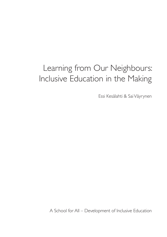# Learning from Our Neighbours: Inclusive Education in the Making

Essi Kesälahti & Sai Väyrynen

A School for All – Development of Inclusive Education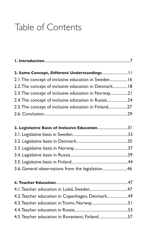# Table of Contents

| 2. Same Concept, Different Understandings             |  |
|-------------------------------------------------------|--|
| 2.1. The concept of inclusive education in Sweden 16  |  |
| 2.2. The concept of inclusive education in Denmark 18 |  |
| 2.3. The concept of inclusive education in Norway21   |  |
| 2.4. The concept of inclusive education in Russia24   |  |
| 2.5. The concept of inclusive education in Finland27  |  |
|                                                       |  |
|                                                       |  |
| 3. Legislative Basis of Inclusive Education31         |  |
|                                                       |  |
|                                                       |  |
|                                                       |  |
|                                                       |  |
|                                                       |  |
| 3.6. General observations from the legislation46      |  |
|                                                       |  |
|                                                       |  |
|                                                       |  |
| 4.2. Teacher education in Copenhagen, Denmark49       |  |
|                                                       |  |
|                                                       |  |
| 4.5. Teacher education in Rovaniemi, Finland57        |  |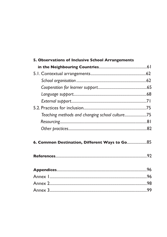| 5. Observations of Inclusive School Arrangements |  |
|--------------------------------------------------|--|
|                                                  |  |
|                                                  |  |
|                                                  |  |
|                                                  |  |
|                                                  |  |
|                                                  |  |
|                                                  |  |
| Teaching methods and changing school culture75   |  |
|                                                  |  |
|                                                  |  |
| 6. Common Destination, Different Ways to Go 85   |  |
|                                                  |  |
|                                                  |  |
|                                                  |  |
|                                                  |  |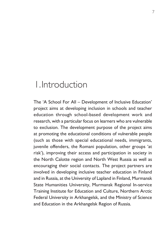# Introduction 1.

The 'A School For All – Development of Inclusive Education' project aims at developing inclusion in schools and teacher education through school-based development work and research, with a particular focus on learners who are vulnerable to exclusion. The development purpose of the project aims at promoting the educational conditions of vulnerable people (such as those with special educational needs, immigrants, juvenile offenders, the Romani population, other groups 'at risk'), improving their access and participation in society in the North Calotte region and North West Russia as well as encouraging their social contacts. The project partners are involved in developing inclusive teacher education in Finland and in Russia, at the University of Lapland in Finland, Murmansk State Humanities University, Murmansk Regional In-service Training Institute for Education and Culture, Northern Arctic Federal University in Arkhangelsk, and the Ministry of Science and Education in the Arkhangelsk Region of Russia.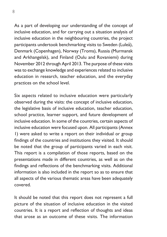As a part of developing our understanding of the concept of inclusive education, and for carrying out a situation analysis of inclusive education in the neighbouring countries, the project participants undertook benchmarking visits to Sweden (Luleå), Denmark (Copenhagen), Norway (Troms), Russia (Murmansk and Arkhangelsk), and Finland (Oulu and Rovaniemi) during November 2012 through April 2013. The purpose of these visits was to exchange knowledge and experiences related to inclusive education in research, teacher education, and the everyday practices on the school level.

Six aspects related to inclusive education were particularly observed during the visits: the concept of inclusive education, the legislative basis of inclusive education, teacher education, school practice, learner support, and future development of inclusive education. In some of the countries, certain aspects of inclusive education were focused upon. All participants (Annex 1) were asked to write a report on their individual or group findings of the countries and institutions they visited. It should be noted that the group of participants varied in each visit. This report is a compilation of those reports, based on the presentations made in different countries, as well as on the findings and reflections of the benchmarking visits. Additional information is also included in the report so as to ensure that all aspects of the various thematic areas have been adequately covered.

It should be noted that this report does not represent a full picture of the situation of inclusive education in the visited countries. It is a report and reflection of thoughts and ideas that arose as an outcome of these visits. The information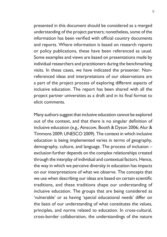presented in this document should be considered as a merged understanding of the project partners; nonetheless, some of the information has been verified with official country documents and reports. Where information is based on research reports or policy publications, these have been referenced as usual. Some examples and views are based on presentations made by individual researchers and practitioners during the benchmarking visits. In these cases, we have indicated the presenter. Nonreferenced ideas and interpretations of our observations are a part of the project process of exploring different aspects of inclusive education. The report has been shared with all the project partner universities as a draft and in its final format to elicit comments.

Many authors suggest that inclusive education cannot be explored out of the context, and that there is no singular definition of inclusive education (e.g., Ainscow, Booth & Dyson 2006; Alur & Timmons 2009; UNESCO 2009). The context in which inclusive education is being implemented varies in terms of geography, demography, culture, and language. The process of inclusion – exclusion further depends on the complex relationships created through the interplay of individual and contextual factors. Hence, the way in which we perceive diversity in education has impacts on our interpretations of what we observe. The concepts that we use when describing our ideas are based on certain scientific traditions, and these traditions shape our understanding of inclusive education. The groups that are being considered as 'vulnerable' or as having 'special educational needs' differ on the basis of our understanding of what constitutes the values, principles, and norms related to education. In cross-cultural, cross-border collaboration, the understandings of the nature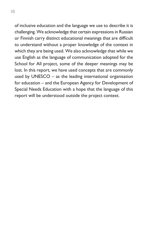of inclusive education and the language we use to describe it is challenging. We acknowledge that certain expressions in Russian or Finnish carry distinct educational meanings that are difficult to understand without a proper knowledge of the context in which they are being used. We also acknowledge that while we use English as the language of communication adopted for the School for All project, some of the deeper meanings may be lost. In this report, we have used concepts that are commonly used by UNESCO – as the leading international organisation for education – and the European Agency for Development of Special Needs Education with a hope that the language of this report will be understood outside the project context.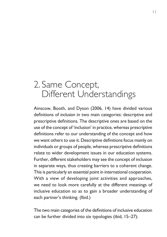# 2. Same Concept, Different Understandings

Ainscow, Booth, and Dyson (2006, 14) have divided various definitions of *inclusion* in two main categories: descriptive and prescriptive definitions. The descriptive ones are based on the use of the concept of 'inclusion' in practice, whereas prescriptive definitions refer to our understanding of the concept and how we want others to use it. Descriptive definitions focus mainly on individuals or groups of people, whereas prescriptive definitions relate to wider development issues in our education systems. Further, different stakeholders may see the concept of inclusion in separate ways, thus creating barriers to a coherent change. This is particularly an essential point in international cooperation. With a view of developing joint activities and approaches, we need to look more carefully at the different meanings of inclusive education so as to gain a broader understanding of each partner's thinking. (Ibid.)

The two main categories of the definitions of inclusive education can be further divided into six typologies (ibid, 15–27):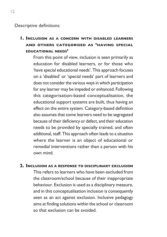Descriptive definitions:

### **Inclusion as <sup>a</sup> concern with disabled learners 1. and others categorised as 'having special educational needs'**

From this point of view, inclusion is seen primarily as education for disabled learners, or for those who 'have special educational needs'. This approach focuses on a 'disabled' or 'special needs' part of learners and does not consider the various ways in which participation for any learner may be impeded or enhanced. Following this categorisation-based conceptualisation, the educational support systems are built, thus having an effect on the entire system. Category-based definition also assumes that some learners need to be segregated because of their deficiency or defect, and their education needs to be provided by specially trained, and often additional, staff. This approach often leads to a situation where the learner is an object of educational or remedial interventions rather than a person with his own mind.

#### **Inclusion as a response to disciplinary exclusion 2.**

This refers to learners who have been excluded from the classroom/school because of their inappropriate behaviour. Exclusion is used as a disciplinary measure, and in this conceptualisation inclusion is consequently seen as an act against exclusion. Inclusive pedagogy aims at finding solutions within the school or classroom so that exclusion can be avoided.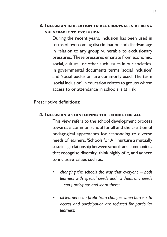During the recent years, inclusion has been used in terms of overcoming discrimination and disadvantage in relation to any group vulnerable to exclusionary pressures. These pressures emanate from economic, social, cultural, or other such issues in our societies. In governmental documents terms 'social inclusion' and 'social exclusion' are commonly used. The term 'social inclusion' in education relates to groups whose access to or attendance in schools is at risk.

Prescriptive definitions:

#### **Inclusion as developing the school for all 4.**

This view refers to the school development process towards a common school for all and the creation of pedagogical approaches for responding to diverse needs of learners. 'Schools for All' nurture a mutually sustaining relationship between schools and communities that recognise diversity, think highly of it, and adhere to inclusive values such as:

- *• changing the schools the way that everyone both learners with special needs and without any needs – can participate and learn there;*
- *• all learners can profit from changes when barriers to access and participation are reduced for particular learners;*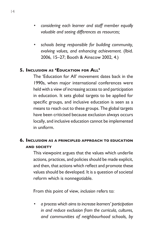- *• considering each learner and staff member equally valuable and seeing differences as resources;*
- *• schools being responsible for building community, evolving values, and enhancing achievement.* (Ibid. 2006, 15–27; Booth & Ainscow 2002, 4.)

#### **Inclusion as 'Education for All' 5.**

The 'Education for All' movement dates back in the 1990s, when major international conferences were held with a view of increasing access to and participation in education. It sets global targets to be applied for specific groups, and inclusive education is seen as a means to reach out to these groups. The global targets have been criticised because exclusion always occurs locally, and inclusive education cannot be implemented in uniform.

#### **Inclusion as a principled approach to education 6.and society**

This viewpoint argues that the values which underlie actions, practices, and policies should be made explicit, and then, that actions which reflect and promote these values should be developed. It is a question of societal reform which is nonnegotiable.

From this point of view, *inclusion* refers to:

*• a process which aims to increase learners' participation in and reduce exclusion from the curricula, cultures, and communities of neighbourhood schools, by*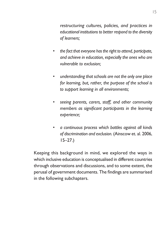*restructuring cultures, policies, and practices in educational institutions to better respond to the diversity of learners;*

- *• the fact that everyone has the right to attend, participate, and achieve in education, especially the ones who are vulnerable to exclusion;*
- *• understanding that schools are not the only one place for learning, but, rather, the purpose of the school is to support learning in all environments;*
- *• seeing parents, carers, staff, and other community members as significant participants in the learning experience;*
- *• a continuous process which battles against all kinds of discrimination and exclusion.* (Ainscow et. al. 2006, 15–27.)

Keeping this background in mind, we explored the ways in which inclusive education is conceptualised in different countries through observations and discussions, and to some extent, the perusal of government documents. The findings are summarised in the following subchapters.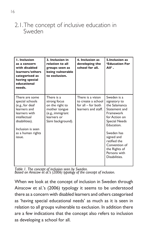2.1. The concept of inclusive education in Sweden

| <b>I. Inclusion</b><br>as a concern<br>with disabled<br>learners/others<br>categorised as<br>having special<br>educational<br>needs.                                        | 3. Inclusion in<br>relation to all<br>groups seen as<br>being vulnerable<br>to exclusion.                              | 4. Inclusion as<br>developing the<br>school for all.                                   | 5.Inclusion as<br><b>'Education For</b><br>All'.                                                                                                                                                                                                 |
|-----------------------------------------------------------------------------------------------------------------------------------------------------------------------------|------------------------------------------------------------------------------------------------------------------------|----------------------------------------------------------------------------------------|--------------------------------------------------------------------------------------------------------------------------------------------------------------------------------------------------------------------------------------------------|
| There are some<br>special schools<br>(e.g., for deaf<br>learners and<br>learners with<br>intellectual<br>disabilities).<br>Inclusion is seen<br>as a human rights<br>issue. | There is a<br>strong focus<br>on the right to<br>mother tongue<br>(e.g., immigrant<br>learners or<br>Sámi background). | There is a vision<br>to create a school<br>for all $-$ for both<br>learners and staff. | Sweden is a<br>signatory to<br>the Salamanca<br>Statement and<br>Framework<br>for Action on<br><b>Special Needs</b><br>Education.<br>Sweden has<br>signed and<br>ratified the<br>Convention of<br>the Rights of<br>Persons with<br>Disabilities. |

*Table 1. The concept of inclusion seen by Sweden.*

*Based on Ainscow et al.'s (2006) typology of the concept of inclusion.*

When we look at the concept of inclusion in Sweden through Ainscow et al.'s (2006) typology it seems to be understood there as a concern with disabled learners and others categorised as 'having special educational needs' as much as it is seen in relation to all groups vulnerable to exclusion. In addition there are a few indications that the concept also refers to inclusion as developing a school for all.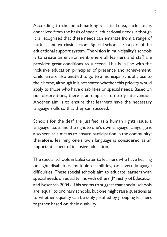According to the benchmarking visit in Luleå, inclusion is conceived from the basis of special educational needs, although it is recognised that these needs can emanate from a range of intrinsic and extrinsic factors. Special schools are a part of the educational support system. The vision in municipality's schools is to create an environment where all learners and staff are provided great conditions to succeed. This is in line with the inclusive education principles of presence and achievement. Children are also entitled to go to a municipal school close to their home, although it is not stated whether this priority would apply to those who have disabilities or special needs. Based on our observations, there is an emphasis on early intervention. Another aim is to ensure that learners have the necessary language skills so that they can succeed.

Schools for the deaf are justified as a human rights issue, a language issue, and the right to one's own language. Language is also seen as a means to ensure participation in the community; therefore, learning one's own language is considered as an important aspect of inclusive education.

The special schools in Luleå cater to learners who have hearing or sight disabilities, multiple disabilities, or severe language difficulties. These special schools aim to educate learners with special needs on equal terms with others (Ministry of Education and Research 2004). This seems to suggest that special schools are 'equal' to ordinary schools, but one might raise questions as to whether equality can be truly justified by grouping learners together based on their disability.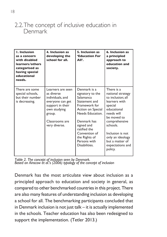## 2.2. The concept of inclusive education in Denmark

| <b>I. Inclusion</b><br>as a concern<br>with disabled<br>learners/others<br>categorised as<br>having special<br>educational<br>needs. | 4. Inclusion as<br>developing the<br>school for all.                                                                                                     | 5. Inclusion as<br><b>'Education For</b><br>AII'.                                                                                                                                                                                        | 6. Inclusion as<br>a principled<br>approach to<br>education and<br>society.                                                                                                                                                                         |
|--------------------------------------------------------------------------------------------------------------------------------------|----------------------------------------------------------------------------------------------------------------------------------------------------------|------------------------------------------------------------------------------------------------------------------------------------------------------------------------------------------------------------------------------------------|-----------------------------------------------------------------------------------------------------------------------------------------------------------------------------------------------------------------------------------------------------|
| There are some<br>special schools,<br>but their number<br>is decreasing.                                                             | Learners are seen<br>as diverse<br>individuals, and<br>everyone can get<br>support in their<br>own studying<br>group.<br>Classrooms are<br>very diverse. | Denmark is a<br>signatory to the<br>Salamanca<br>Statement and<br>Framework for<br>Action on Special<br>Needs Education.<br>Denmark has<br>signed and<br>ratified the<br>Convention of<br>the Rights of<br>Persons with<br>Disabilities. | There is a<br>national strategy<br>to inclusion; all<br>learners with<br>special<br>educational<br>needs will<br>be moved to<br>comprehensive<br>schools.<br>Inclusion is not<br>only an ideology<br>but a matter of<br>expectations and<br>policy. |

*Table 2. The concept of inclusion seen by Denmark. Based on Ainscow et al.'s (2006) typology of the concept of inclusion*

Denmark has the most articulate view about inclusion as a principled approach to education and society in general, as compared to other benchmarked countries in this project. There are also many features of understanding inclusion as developing a school for all. The benchmarking participants concluded that in Denmark inclusion is not just talk – it is actually implemented in the schools. Teacher education has also been redesigned to support the implementation. (Tetler 2013.)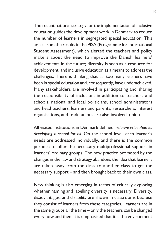The recent national strategy for the implementation of inclusive education guides the development work in Denmark to reduce the number of learners in segregated special education. This arises from the results in the PISA (Programme for International Student Assessment), which alerted the teachers and policy makers about the need to improve the Danish learners' achievements in the future; diversity is seen as a resource for development, and inclusive education as a means to address the challenges. There is thinking that far too many learners have been in special education and, consequently, have underachieved. Many stakeholders are involved in participating and sharing the responsibility of inclusion; in addition to teachers and schools, national and local politicians, school administrators and head teachers, learners and parents, researchers, interest organisations, and trade unions are also involved. (Ibid.)

All visited institutions in Denmark defined *inclusive education* as *developing a school for all*. On the school level, each learner's needs are addressed individually, and there is the common purpose to offer the necessary multiprofessional support in learners' ordinary groups. The new practice promoted by the changes in the law and strategy abandons the idea that learners are taken away from the class to another class to get the necessary support – and then brought back to their own class.

New thinking is also emerging in terms of critically exploring whether naming and labelling diversity is necessary. Diversity, disadvantages, and disability are shown in classrooms because they consist of learners from these categories. Learners are in the same groups all the time – only the teachers can be changed every now and then. It is emphasised that it is the environment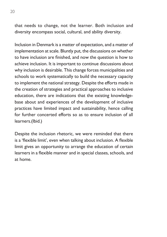that needs to change, not the learner. Both inclusion and diversity encompass social, cultural, and ability diversity.

Inclusion in Denmark is a matter of expectation, and a matter of implementation at scale. Bluntly put, the discussions on whether to have inclusion are finished, and now the question is how to achieve inclusion. It is important to continue discussions about why inclusion is desirable. This change forces municipalities and schools to work systematically to build the necessary capacity to implement the national strategy. Despite the efforts made in the creation of strategies and practical approaches to inclusive education, there are indications that the existing knowledgebase about and experiences of the development of inclusive practices have limited impact and sustainability, hence calling for further concerted efforts so as to ensure inclusion of all learners.(Ibid.)

Despite the inclusion rhetoric, we were reminded that there is a 'flexible limit', even when talking about inclusion. A flexible limit gives an opportunity to arrange the education of certain learners in a flexible manner and in special classes, schools, and at home.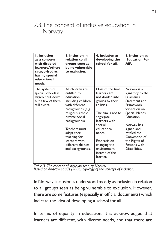## 2.3. The concept of inclusive education in Norway

| <b>I. Inclusion</b><br>as a concern<br>with disabled<br>learners/others<br>categorised as<br>having special<br>educational<br>needs. | 3. Inclusion in<br>relation to all<br>groups seen as<br>being vulnerable<br>to exclusion.                                                                                                                                                                                        | 4. Inclusion as<br>developing the<br>school for all.                                                                                                                                                                                                      | 5. Inclusion as<br><b>'Education For</b><br>AII'.                                                                                                                                                                                                |
|--------------------------------------------------------------------------------------------------------------------------------------|----------------------------------------------------------------------------------------------------------------------------------------------------------------------------------------------------------------------------------------------------------------------------------|-----------------------------------------------------------------------------------------------------------------------------------------------------------------------------------------------------------------------------------------------------------|--------------------------------------------------------------------------------------------------------------------------------------------------------------------------------------------------------------------------------------------------|
| The system of<br>special schools is<br>largely shut down,<br>but a few of them<br>still exists.                                      | All children are<br>entitled to<br>education.<br>including children<br>with different<br>backgrounds (e.g.,<br>religious, ethnic,<br>diverse social<br>backgrounds).<br>Teachers must<br>adapt their<br>teaching for<br>learners with<br>different abilities<br>and backgrounds. | Most of the time,<br>learners are<br>not divided into<br>groups by their<br>abilities.<br>The aim is not to<br>segregate<br>learners with<br>special<br>educational<br>needs.<br>Emphasis on<br>changing the<br>environment<br>instead of the<br>learner. | Norway is a<br>signatory to the<br>Salamanca<br>Statement and<br>Framework<br>for Action on<br><b>Special Needs</b><br>Education.<br>Norway has<br>signed and<br>ratified the<br>Convention of<br>the Rights of<br>Persons with<br>Disabilities. |

*Table 3. The concept of inclusion seen by Norway.*

*Based on Ainscow et al.'s (2006) typology of the concept of inclusion.*

In Norway, inclusion is understood mostly as inclusion in relation to all groups seen as being vulnerable to exclusion. However, there are some features (especially in official documents) which indicate the idea of developing a school for all.

In terms of equality in education, it is acknowledged that learners are different, with diverse needs, and that there are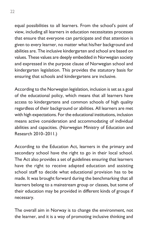equal possibilities to all learners. From the school's point of view, including all learners in education necessitates processes that ensure that everyone can participate and that attention is given to every learner, no matter what his/her background and abilities are. The inclusive kindergarten and school are based on values. These values are deeply embedded in Norwegian society and expressed in the purpose clause of Norwegian school and kindergarten legislation. This provides the statutory basis for ensuring that schools and kindergartens are inclusive.

According to the Norwegian legislation, inclusion is set as a goal of the educational policy, which means that all learners have access to kindergartens and common schools of high quality regardless of their background or abilities. All learners are met with high expectations. For the educational institutions, inclusion means active consideration and accommodating of individual abilities and capacities. (Norwegian Ministry of Education and Research 2010–2011.)

According to the Education Act, learners in the primary and secondary school have the right to go in their local school. The Act also provides a set of guidelines ensuring that learners have the right to receive adapted education and assisting school staff to decide what educational provision has to be made. It was brought forward during the benchmarking that all learners belong to a mainstream group or classes, but some of their education may be provided in different kinds of groups if necessary.

The overall aim in Norway is to change the environment, not the learner, and it is a way of promoting inclusive thinking and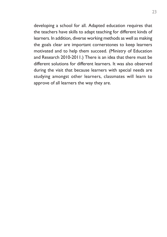developing a school for all. Adapted education requires that the teachers have skills to adapt teaching for different kinds of learners. In addition, diverse working methods as well as making the goals clear are important cornerstones to keep learners motivated and to help them succeed. (Ministry of Education and Research 2010-2011.) There is an idea that there must be different solutions for different learners. It was also observed during the visit that because learners with special needs are studying amongst other learners, classmates will learn to approve of all learners the way they are.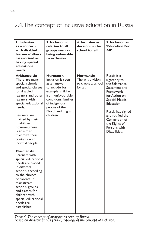## 2.4. The concept of inclusive education in Russia

| <b>I.</b> Inclusion<br>as a concern<br>with disabled<br>learners/others<br>categorised as<br>having special<br>educational<br>needs.                                                                                                                                                                           | 3. Inclusion in<br>relation to all<br>groups seen as<br>being vulnerable<br>to exclusion.                                                                                                               | 4. Inclusion as<br>developing the<br>school for all.                    | 5. Inclusion as<br><b>'Education For</b><br>AII'.                                                                                                                                                                                             |
|----------------------------------------------------------------------------------------------------------------------------------------------------------------------------------------------------------------------------------------------------------------------------------------------------------------|---------------------------------------------------------------------------------------------------------------------------------------------------------------------------------------------------------|-------------------------------------------------------------------------|-----------------------------------------------------------------------------------------------------------------------------------------------------------------------------------------------------------------------------------------------|
| Arkhangelsk:<br>There are many<br>special schools<br>and special classes<br>for disabled<br>learners and other<br>learners with<br>special educational<br>needs.<br>Learners are<br>divided by their<br>disabilities:<br>however, there<br>is an aim to<br>maximize their<br>contacts with<br>'normal people'. | Murmansk:<br>Inclusion is seen<br>as an answer<br>to include, for<br>example, children<br>from unfavourable<br>conditions, families<br>of indigenous<br>people of the<br>North and migrant<br>children. | <b>Murmansk:</b><br>There is a vision<br>to create a school<br>for all. | Russia is a<br>signatory to<br>the Salamanca<br>Statement and<br>Framework<br>for Action on<br><b>Special Needs</b><br>Education.<br>Russia has signed<br>and ratified the<br>Convention of<br>the Rights of<br>Persons with<br>Disabilities. |
| Murmansk:<br>Learners with<br>special educational<br>needs are placed<br>in different<br>schools, according<br>to the choices<br>of parents. In<br>mainstream<br>schools, groups<br>and classes for<br>children with<br>special educational<br>needs are<br>established.                                       |                                                                                                                                                                                                         |                                                                         |                                                                                                                                                                                                                                               |

*Table 4. The concept of inclusion as seen by Russia. Based on Ainscow et al.'s (2006) typology of the concept of inclusion.*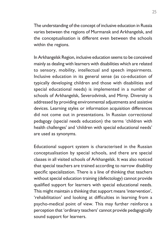The understanding of the concept of inclusive education in Russia varies between the regions of Murmansk and Arkhangelsk, and the conceptualisation is different even between the schools within the regions.

In Arkhangelsk Region, inclusive education seems to be conceived mainly as dealing with learners with disabilities which are related to sensory, mobility, intellectual and speech impairments. Inclusive education in its general sense (as co-education of typically developing children and those with disabilities and special educational needs) is implemented in a number of schools of Arkhangelsk, Severodvinsk, and Mirny. Diversity is addressed by providing environmental adjustments and assistive devices. Learning styles or information acquisition differences did not come out in presentations. In Russian correctional pedagogy (special needs education) the terms 'children with health challenges' and 'children with special educational needs' are used as synonyms.

Educational support system is characterised in the Russian conceptualisation by special schools, and there are special classes in all visited schools of Arkhangelsk. It was also noticed that special teachers are trained according to narrow disability specific specialization. There is a line of thinking that teachers without special education training (defectology) cannot provide qualified support for learners with special educational needs. This might maintain a thinking that support means 'intervention', 'rehabilitation' and looking at difficulties in learning from a psycho-medical point of view. This may further reinforce a perception that 'ordinary teachers' cannot provide pedagogically sound support for learners.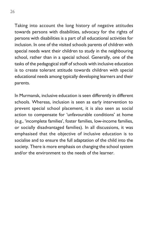Taking into account the long history of negative attitudes towards persons with disabilities, advocacy for the rights of persons with disabilities is a part of all educational activities for inclusion. In one of the visited schools parents of children with special needs want their children to study in the neighbouring school, rather than in a special school. Generally, one of the tasks of the pedagogical staff of schools with inclusive education is to create tolerant attitude towards children with special educational needs among typically developing learners and their parents.

In Murmansk, inclusive education is seen differently in different schools. Whereas, inclusion is seen as early intervention to prevent special school placement, it is also seen as social action to compensate for 'unfavourable conditions' at home (e.g., 'incomplete families', foster families, low-income families, or socially disadvantaged families). In all discussions, it was emphasised that the objective of inclusive education is to socialise and to ensure the full adaptation of the child into the society. There is more emphasis on changing the school system and/or the environment to the needs of the learner.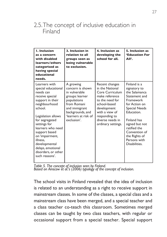## 2.5. The concept of inclusive education in Finland

| <b>I.</b> Inclusion<br>as a concern<br>with disabled<br>learners/others<br>categorised as<br>having special<br>educational<br>needs.                                                                                                                                                                                             | 3. Inclusion in<br>relation to all<br>groups seen as<br>being vulnerable<br>to exclusion.                                                                                   | 4. Inclusion as<br>developing the<br>school for all.                                                                                                                                                  | 5. Inclusion as<br><b>'Education For</b><br>AII <sup>'</sup> .                                                                                                                                                                                                |
|----------------------------------------------------------------------------------------------------------------------------------------------------------------------------------------------------------------------------------------------------------------------------------------------------------------------------------|-----------------------------------------------------------------------------------------------------------------------------------------------------------------------------|-------------------------------------------------------------------------------------------------------------------------------------------------------------------------------------------------------|---------------------------------------------------------------------------------------------------------------------------------------------------------------------------------------------------------------------------------------------------------------|
| Learners with<br>special educational<br>needs can<br>receive special<br>support in their<br>neighbourhood<br>school.<br>Legislation allows<br>for segregated<br>settings for<br>learners who need<br>support based<br>on 'impairment,<br>illness.<br>developmental<br>delays, emotional<br>disorders, or other<br>such reasons'. | A growing<br>concern is shown<br>in vulnerable<br>groups: learner<br>populations<br>from Romani<br>and immigrant<br>backgrounds, and<br>'learners at risk of<br>exclusion'. | Recent changes<br>in the National<br>Core Curriculum<br>make reference<br>to the need for<br>school-based<br>development<br>with a view of<br>responding to<br>diverse needs in<br>ordinary settings. | Finland is a<br>signatory to<br>the Salamanca<br>Statement and<br>Framework<br>for Action on<br><b>Special Needs</b><br>Education.<br><b>Finland has</b><br>signed but not<br>ratified the<br>Convention of<br>the Rights of<br>Persons with<br>Disabilities. |

*Table 5. The concept of inclusion seen by Finland. Based on Ainscow et al.'s (2006) typology of the concept of inclusion.*

The school visits in Finland revealed that the idea of inclusion is related to an understanding as a right to receive support in mainstream classes. In some of the classes, a special class and a mainstream class have been merged, and a special teacher and a class teacher co-teach this classroom. Sometimes merged classes can be taught by two class teachers, with regular or occasional support from a special teacher. Special support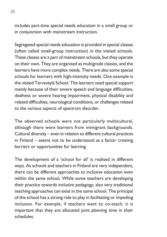includes part-time special needs education in a small group or in conjunction with mainstream instruction.

Segregated special needs education is provided in special classes (often called small-group instruction) in the visited schools. These classes are a part of mainstream schools, but they operate on their own. They are organised as multigrade classes, and the learners have more complex needs. There are also some special schools for learners with high-intensity needs. One example is the visited Tervaväylä School. The learners need special support mainly because of their severe speech and language difficulties, deafness or severe hearing impairment, physical disability and related difficulties, neurological conditions, or challenges related to the various aspects of spectrum disorder.

The observed schools were not particularly multicultural, although there were learners from immigrant backgrounds. Cultural diversity – even in relation to different cultural practices in Finland – seems not to be understood as a factor creating barriers or opportunities for learning.

The development of a 'school for all' is realised in different ways. As schools and teachers in Finland are very independent, there can be different approaches to inclusive education even within the same school. While some teachers are developing their practice towards inclusive pedagogy; also very traditional teaching approaches can exist in the same school. The principal of the school has a strong role to play in facilitating or impeding inclusion. For example, if teachers want to co-teach, it is important that they are allocated joint planning time in their schedules.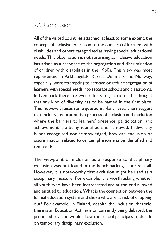## 2.6. Conclusion

All of the visited countries attached, at least to some extent, the concept of inclusive education to the concern of learners with disabilities and others categorised as having special educational needs. This observation is not surprising as inclusive education has arisen as a response to the segregation and discrimination of children with disabilities in the 1960s. This view was most represented in Arkhangelsk, Russia. Denmark and Norway, especially, were attempting to remove or reduce segregation of learners with special needs into separate schools and classrooms. In Denmark there are even efforts to get rid of the thought that any kind of diversity has to be named in the first place. This, however, raises some questions. Many researchers suggest that inclusive education is a process of inclusion and exclusion where the barriers to learners' presence, participation, and achievement are being identified and removed. If diversity is not recognised nor acknowledged, how can exclusion or discrimination related to certain phenomena be identified and removed?

The viewpoint of inclusion as a response to disciplinary exclusion was not found in the benchmarking reports at all. However, it is noteworthy that exclusion might be used as a disciplinary measure. For example, it is worth asking whether all youth who have been incarcerated are at the end allowed and entitled to education. What is the connection between the formal education system and those who are at risk of dropping out? For example, in Finland, despite the inclusion rhetoric, there is an Education Act revision currently being debated; the proposed revision would allow the school principals to decide on temporary disciplinary exclusion.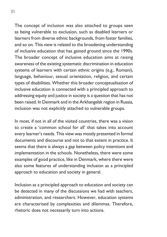The concept of inclusion was also attached to groups seen as being vulnerable to exclusion, such as disabled learners or learners from diverse ethnic backgrounds, from foster families, and so on. This view is related to the broadening understanding of inclusive education that has gained ground since the 1990s. The broader concept of inclusive education aims at raising awareness of the existing systematic discrimination in education systems of learners with certain ethnic origins (e.g., Romani), language, behaviour, sexual orientation, religion, and certain types of disabilities. Whether this broader conceptualisation of inclusive education is connected with a principled approach to addressing equity and justice in society is a question that has not been raised. In Denmark and in the Arkhangelsk region in Russia, inclusion was not explicitly attached to vulnerable groups.

In most, if not in all of the visited countries, there was a vision to create a 'common school for all' that takes into account every learner's needs. This view was mostly presented in formal documents and discourse and not to that extent in practice. It seems that there is always a gap between policy intentions and implementation in the schools. Nonetheless, there were some examples of good practice, like in Denmark, where there were also some features of understanding inclusion as a principled approach to education and society in general.

Inclusion as a principled approach to education and society can be detected in many of the discussions we had with teachers, administration, and researchers. However, education systems are characterised by complexities and dilemmas. Therefore, rhetoric does not necessarily turn into actions.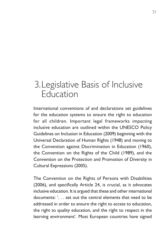# 3. Legislative Basis of Inclusive Education

International conventions of and declarations set guidelines for the education systems to ensure the right to education for all children. Important legal frameworks impacting inclusive education are outlined within the UNESCO Policy Guidelines on Inclusion in Education (2009) beginning with the Universal Declaration of Human Rights (1948) and moving to the Convention against Discrimination in Education (1960), the Convention on the Rights of the Child (1989), and the Convention on the Protection and Promotion of Diversity in Cultural Expressions (2005).

The Convention on the Rights of Persons with Disabilities (2006), and specifically Article 24, is crucial, as it advocates inclusive education. It is argued that these and other international documents: '. . . set out the central elements that need to be addressed in order to ensure the right to access to education, the right to quality education, and the right to respect in the learning environment'. Most European countries have signed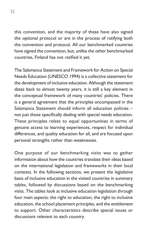this convention, and the majority of these have also signed the optional protocol or are in the process of ratifying both the convention and protocol. All our benchmarked countries have signed the convention, but, unlike the other benchmarked countries, Finland has not ratified it yet.

The Salamanca Statement and Framework for Action on Special Needs Education (UNESCO 1994) is a collective statement for the development of inclusive education. Although the statement dates back to almost twenty years, it is still a key element in the conceptual framework of many countries' policies. There is a general agreement that the principles encompassed in the Salamanca Statement should inform all education policies – not just those specifically dealing with special needs education. These principles relate to equal opportunities in terms of genuine access to learning experiences, respect for individual differences, and quality education for all, and are focused upon personal strengths rather than weaknesses.

One purpose of our benchmarking visits was to gather information about how the countries translate their ideas based on the international legislation and frameworks in their local contexts. In the following sections, we present the legislative basis of inclusive education in the visited countries in summary tables, followed by discussions based on the benchmarking visits. The tables look at inclusive education legislation through four main aspects: the right to education, the right to inclusive education, the school placement principles, and the entitlement to support. Other characteristics describe special issues or discussions relevant to each country.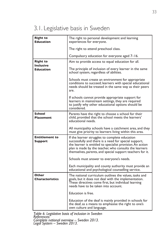# 3.1. Legislative basis in Sweden

| <b>Right to</b><br><b>Education</b>  | The right to personal development and learning<br>experiences for everyone.                                                                                                                                                                                                                  |
|--------------------------------------|----------------------------------------------------------------------------------------------------------------------------------------------------------------------------------------------------------------------------------------------------------------------------------------------|
|                                      | The right to attend preschool class.                                                                                                                                                                                                                                                         |
|                                      | Compulsory education for everyone aged 7–16.                                                                                                                                                                                                                                                 |
| <b>Right to</b>                      | Aim to provide access to equal education for all.                                                                                                                                                                                                                                            |
| <b>Inclusive</b><br><b>Education</b> | The principle of inclusion of every learner in the same<br>school system, regardless of abilities.                                                                                                                                                                                           |
|                                      | Schools must create an environment for appropriate<br>conditions to succeed; learners with special educational<br>needs should be treated in the same way as their peers<br>are.                                                                                                             |
|                                      | If schools cannot provide appropriate support for<br>learners in mainstream settings, they are required<br>to justify why other educational options should be<br>considered.                                                                                                                 |
| School<br>Placement                  | Parents have the right to choose a school for their<br>child, provided that the school meets the learners'<br>educational needs.                                                                                                                                                             |
|                                      | All municipality schools have a catchment area, and they<br>must give priority to learners living within this area.                                                                                                                                                                          |
| <b>Entitlement to</b><br>Support     | If the learner struggles to complete education<br>successfully and there is a need for special support,<br>the learner is entitled to specialist provision. An action<br>plan is made by the teacher, who consults the learners<br>themselves, parents, and special support teachers for it. |
|                                      | Schools must answer to everyone's needs.                                                                                                                                                                                                                                                     |
|                                      | Each municipality and county authority must provide an<br>educational and psychological counselling service.                                                                                                                                                                                 |
| Other<br><b>Characteristics</b>      | The national curriculum outlines the values, tasks and<br>goals, but it does not deal with the implementation.<br>These directives come first, but individual learning<br>needs have to be taken into account.                                                                               |
|                                      | Education is free.                                                                                                                                                                                                                                                                           |
|                                      | Education of the deaf is mainly provided in schools for<br>the deaf, as a means to emphasise the right to one's<br>own culture and language.                                                                                                                                                 |

*Table 6. Legislative basis of inclusion in Sweden References: Complete national overview – Sweden 2013. Legal System – Sweden 2013.*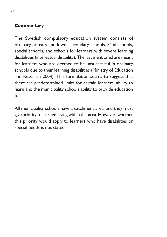#### **Commentary**

The Swedish compulsory education system consists of ordinary primary and lower secondary schools, Sámi schools, special schools, and schools for learners with severe learning disabilities (intellectual disability). The last mentioned are meant for learners who are deemed to be unsuccessful in ordinary schools due to their learning disabilities (Ministry of Education and Research 2004). This formulation seems to suggest that there are predetermined limits for certain learners' ability to learn and the municipality schools ability to provide education for all.

All municipality schools have a catchment area, and they must give priority to learners living within this area. However, whether this priority would apply to learners who have disabilities or special needs is not stated.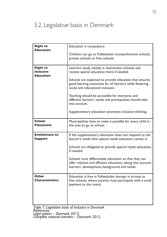## 3.2. Legislative basis in Denmark

| <b>Right to</b><br><b>Education</b>                     | Education is compulsory.                                                                                                                                              |
|---------------------------------------------------------|-----------------------------------------------------------------------------------------------------------------------------------------------------------------------|
|                                                         | Children can go to Folkeskolen (comprehensive school),<br>private schools or free schools.                                                                            |
| <b>Right to</b><br><b>Inclusive</b><br><b>Education</b> | Learners study mostly in mainstream schools and<br>receive special education there if needed.                                                                         |
|                                                         | Schools are expected to provide education that ensures<br>good learning outcomes for all learners while fostering<br>social and educational inclusion.                |
|                                                         | Teaching should be accessible for everyone, and<br>different learners' needs and prerequisites should take<br>into account.                                           |
|                                                         | Supplementary education promotes inclusive thinking.                                                                                                                  |
| <b>School</b><br><b>Placement</b>                       | Municipalities have to make it possible for every child in<br>the area to go to school.                                                                               |
| <b>Entitlement to</b><br><b>Support</b>                 | If the supplementary education does not respond to the<br>learner's needs then special needs education comes in.                                                      |
|                                                         | Schools are obligated to provide special needs education,<br>if needed.                                                                                               |
|                                                         | Schools must differentiate education so that they can<br>offer relevant and efficient education, taking into account<br>learners' development, background, and needs. |
| <b>Other</b><br><b>Characteristics</b>                  | Education is free in Folkeskolen (except in private or<br>free schools, where parents must participate with a small<br>payment to the costs).                         |
|                                                         |                                                                                                                                                                       |

*Table 7. Legislative basis of inclusion in Denmark References: Legal system – Denmark 2013. Complete national overview – Denmark 2012.*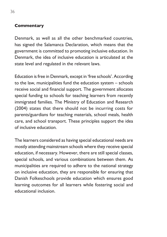#### **Commentary**

Denmark, as well as all the other benchmarked countries, has signed the Salamanca Declaration, which means that the government is committed to promoting inclusive education. In Denmark, the idea of inclusive education is articulated at the state level and regulated in the relevant laws.

Education is free in Denmark, except in 'free schools'. According to the law, municipalities fund the education system – schools receive social and financial support. The government allocates special funding to schools for teaching learners from recently immigrated families. The Ministry of Education and Research (2004) states that there should not be incurring costs for parents/guardians for teaching materials, school meals, health care, and school transport. These principles support the idea of inclusive education.

The learners considered as having special educational needs are mostly attending mainstream schools where they receive special education, if necessary. However, there are still special classes, special schools, and various combinations between them. As municipalities are required to adhere to the national strategy on inclusive education, they are responsible for ensuring that Danish Folkeschools provide education which ensures good learning outcomes for all learners while fostering social and educational inclusion.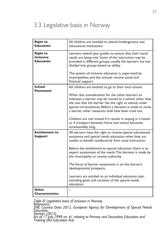# 3.3. Legislative basis in Norway

| <b>Right to</b><br><b>Education</b>                     | All children are entitled to attend kindergartens and<br>educational institutions.                                                                                                                                                                                                                                                                                                                                                                                                                                                                            |
|---------------------------------------------------------|---------------------------------------------------------------------------------------------------------------------------------------------------------------------------------------------------------------------------------------------------------------------------------------------------------------------------------------------------------------------------------------------------------------------------------------------------------------------------------------------------------------------------------------------------------------|
| <b>Right to</b><br><b>Inclusive</b><br><b>Education</b> | Learners attend year grades to ensure that their social<br>needs are being met. Some of the instruction may be<br>provided in different groups; usually the learners are not<br>divided into groups based on ability.<br>The system of inclusive education is supervised by<br>municipalities, and the schools receive social and<br>financial support.                                                                                                                                                                                                       |
| <b>School</b><br><b>Placement</b>                       | All children are entitled to go to their local school.<br>When due consideration for the other learners so<br>indicates, a learner may be moved to a school other than<br>the one that the learner has the right to attend, under<br>special circumstances. Before a decision is made to move<br>a learner, other measures shall have been tried out.<br>Children are not moved if it results in staying in a hostel<br>or if transport between home and school becomes<br>unreasonably long.                                                                 |
| <b>Entitlement to</b><br><b>Support</b>                 | All learners have the right to receive special educational<br>assistance and special needs education when they are<br>unable to benefit satisfactorily from usual instruction.<br>Before the entitlement to special education, there is an<br>expert assessment of the needs. The decision is made by<br>the municipality or county authority.<br>The focus of learner assessment is on the learner's<br>developmental prospects.<br>Learners are entitled to an individual education plan<br>including goals and contents of the special needs<br>education. |
| Other<br><b>Characteristics</b>                         |                                                                                                                                                                                                                                                                                                                                                                                                                                                                                                                                                               |

*Table 8. Legislative basis of inclusion in Norway References: SNE Country Data 2012. European Agency for Development of Special Needs Education. Stensen (2013). Act of 17 July 1998 no. 61 relating to Primary and Secondary Education and Training (the Education Act)*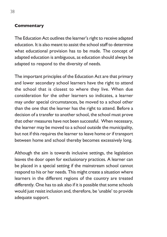#### **Commentary**

The Education Act outlines the learner's right to receive adapted education. It is also meant to assist the school staff to determine what educational provision has to be made. The concept of adapted education is ambiguous, as education should always be adapted to respond to the diversity of needs.

The important principles of the Education Act are that primary and lower secondary school learners have the right to attend the school that is closest to where they live. When due consideration for the other learners so indicates, a learner may under special circumstances, be moved to a school other than the one that the learner has the right to attend. Before a decision of a transfer to another school, the school must prove that other measures have not been successful. When necessary, the learner may be moved to a school outside the municipality, but not if this requires the learner to leave home or if transport between home and school thereby becomes excessively long.

Although the aim is towards inclusive settings, the legislation leaves the door open for exclusionary practices. A learner can be placed in a special setting if the mainstream school cannot respond to his or her needs. This might create a situation where learners in the different regions of the country are treated differently. One has to ask also if it is possible that some schools would just resist inclusion and, therefore, be 'unable' to provide adequate support.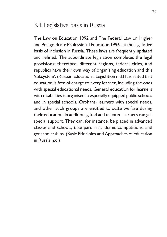# 3.4. Legislative basis in Russia

The Law on Education 1992 and The Federal Law on Higher and Postgraduate Professional Education 1996 set the legislative basis of inclusion in Russia. These laws are frequently updated and refined. The subordinate legislation completes the legal provisions; therefore, different regions, federal cities, and republics have their own way of organising education and this 'subsystem'. (Russian Educational Legislation n.d.) It is stated that education is free of charge to every learner, including the ones with special educational needs. General education for learners with disabilities is organised in especially equipped public schools and in special schools. Orphans, learners with special needs, and other such groups are entitled to state welfare during their education. In addition, gifted and talented learners can get special support. They can, for instance, be placed in advanced classes and schools, take part in academic competitions, and get scholarships. (Basic Principles and Approaches of Education in Russia n.d.)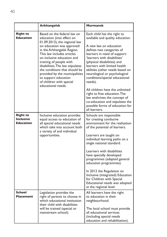|                                                         | Arkhangelsk                                                                                                                                                                                                                                                                                                                                                                                                                  | <b>Murmansk</b>                                                                                                                                                                                                                                                                                                                                                                                                                                                                                                                                                  |
|---------------------------------------------------------|------------------------------------------------------------------------------------------------------------------------------------------------------------------------------------------------------------------------------------------------------------------------------------------------------------------------------------------------------------------------------------------------------------------------------|------------------------------------------------------------------------------------------------------------------------------------------------------------------------------------------------------------------------------------------------------------------------------------------------------------------------------------------------------------------------------------------------------------------------------------------------------------------------------------------------------------------------------------------------------------------|
| <b>Right to</b><br><b>Education</b>                     | Based on the federal law on<br>education (into effect on<br>01.09.2013), the regional law<br>on education was approved<br>in the Arkhangelsk Region.<br>This law includes articles<br>on inclusive education and<br>training of people with<br>disabilities. The law stipulates<br>the conditions that should be<br>provided by the municipalities<br>to support education<br>of children with special<br>educational needs. | Each child has the right to<br>available and quality education.<br>A new law on education<br>defines two categories of<br>learners in need of support:<br>'learners with disabilities'<br>(physical disabilities) and<br>learners with limited health<br>abilities (other needs based on<br>neurological or psychological<br>conditions/special educational<br>needs).<br>All children have the unlimited<br>right to free education. The<br>law enshrines the concept of<br>co-education and stipulates the<br>possible forms of education for<br>all learners. |
| <b>Right to</b><br><b>Inclusive</b><br><b>Education</b> | Inclusive education provides<br>equal access to education of<br>all special educational needs<br>which take into account both<br>a variety of and individual<br>opportunities.                                                                                                                                                                                                                                               | Schools are responsible<br>for creating conducive<br>environment for the realisation<br>of the potential of learners.<br>Learners are taught on<br>individual learning paths on a<br>single national standard.<br>Learners with disabilities<br>have specially developed<br>programmes (adapted general<br>education programmes).<br>In 2012 the Regulation on<br>Inclusive (integrated) Education<br>for Children with Special<br>Educational needs was adopted<br>at the regional level.                                                                       |
| School<br><b>Placement</b>                              | Legislation provides the<br>right of parents to choose in<br>which educational institution<br>their child with disabilities<br>will be trained (special or<br>mainstream school).                                                                                                                                                                                                                                            | All learners have the right<br>to education in their<br>neighbourhood.<br>The local school must provide<br>all educational services<br>(including special needs<br>education and rehabilitation).                                                                                                                                                                                                                                                                                                                                                                |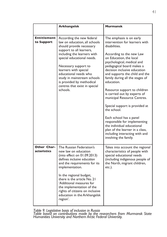|                                  | <b>Arkhangelsk</b>                                                                                                                                                                                                                                                                                                                                                  | <b>Murmansk</b>                                                                                                                                                                                                                                                                                                                                                                                                                                                                                                                                                                                                                                         |
|----------------------------------|---------------------------------------------------------------------------------------------------------------------------------------------------------------------------------------------------------------------------------------------------------------------------------------------------------------------------------------------------------------------|---------------------------------------------------------------------------------------------------------------------------------------------------------------------------------------------------------------------------------------------------------------------------------------------------------------------------------------------------------------------------------------------------------------------------------------------------------------------------------------------------------------------------------------------------------------------------------------------------------------------------------------------------------|
|                                  |                                                                                                                                                                                                                                                                                                                                                                     |                                                                                                                                                                                                                                                                                                                                                                                                                                                                                                                                                                                                                                                         |
| <b>Entitlement</b><br>to Support | According the new federal<br>law on education, all schools<br>should provide necessary<br>support to all learners,<br>including the learners with<br>special educational needs.<br>Necessary support to<br>learners with special<br>educational needs who<br>study in mainstream schools<br>is provided by methodical<br>centres that exist in special<br>schools.  | The emphasis is on early<br>intervention for learners with<br>disabilities.<br>According to the new Law<br>on Education, the local<br>psychological, medical and<br>pedagogical board makes a<br>decision inclusive education<br>and supports the child and the<br>family during all the stages of<br>education.<br>Resource support to children<br>is carried out by experts of<br>municipal Resource Centres.<br>Special support is provided at<br>the school.<br>Each school has a panel<br>responsible for implementing<br>the individual educational<br>plan of the learner in a class,<br>including interacting with and<br>involving the family. |
| Other Char-<br>acteristics       | The Russian Federation's<br>new law on education<br>(into effect on 01.09.2013)<br>defines inclusive education<br>and the requirements for its<br>implementation.<br>In the regional budget,<br>there is the article No. 21<br>'Additional measures for<br>the implementation of the<br>rights of citizens on inclusive<br>education in the Arkhangelsk<br>region'. | Takes into account the regional<br>characteristics of people with<br>special educational needs<br>(including indigenous people of<br>the North, migrant children,<br>etc.).                                                                                                                                                                                                                                                                                                                                                                                                                                                                             |

*Table 9. Legislative basis of inclusion in Russia*

*Table based on contributions made by the researchers from Murmansk State Humanities University and Northern Arctic Federal University.*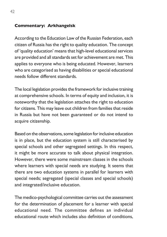#### **Commentary: Arkhangelsk**

According to the Education Law of the Russian Federation, each citizen of Russia has the right to quality education. The concept of 'quality education' means that high-level educational services are provided and all standards set for achievement are met. This applies to everyone who is being educated. However, learners who are categorised as having disabilities or special educational needs follow different standards.

The local legislation provides the framework for inclusive training at comprehensive schools. In terms of equity and inclusion, it is noteworthy that the legislation attaches the right to education for citizens. This may leave out children from families that reside in Russia but have not been guaranteed or do not intend to acquire citizenship.

Based on the observations, some legislation for inclusive education is in place, but the education system is still characterised by special schools and other segregated settings. In this respect, it might be more accurate to talk about physical integration. However, there were some mainstream classes in the schools where learners with special needs are studying. It seems that there are two education systems in parallel for learners with special needs; segregated (special classes and special schools) and integrated/inclusive education.

The medico-psychological committee carries out the assessment for the determination of placement for a learner with special educational need. The committee defines an individual educational route which includes also definition of conditions,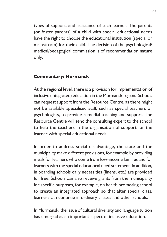types of support, and assistance of such learner. The parents (or foster parents) of a child with special educational needs have the right to choose the educational institution (special or mainstream) for their child. The decision of the psychological/ medical/pedagogical commission is of recommendation nature only.

#### **Commentary: Murmansk**

At the regional level, there is a provision for implementation of inclusive (integrated) education in the Murmansk region. Schools can request support from the Resource Centre, as there might not be available specialised staff, such as special teachers or psychologists, to provide remedial teaching and support. The Resource Centre will send the consulting expert to the school to help the teachers in the organisation of support for the learner with special educational needs.

In order to address social disadvantage, the state and the municipality make different provisions, for example by providing meals for learners who come from low-income families and for learners with the special educational need statement. In addition, in boarding schools daily necessities (linens, etc.) are provided for free. Schools can also receive grants from the municipality for specific purposes, for example, on health promoting school to create an integrated approach so that after special class, learners can continue in ordinary classes and other schools.

In Murmansk, the issue of cultural diversity and language tuition has emerged as an important aspect of inclusive education.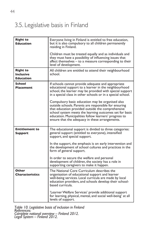# 3.5. Legislative basis in Finland

| <b>Right to</b><br><b>Education</b>                     | Everyone living in Finland is entitled to free education,<br>but it is also compulsory to all children permanently<br>residing in Finland.                                                                                                                                                                                             |
|---------------------------------------------------------|----------------------------------------------------------------------------------------------------------------------------------------------------------------------------------------------------------------------------------------------------------------------------------------------------------------------------------------|
|                                                         | Children must be treated equally and as individuals and<br>they must have a possibility of influencing issues that<br>affect themselves – to a measure corresponding to their<br>level of development.                                                                                                                                 |
| <b>Right to</b><br><b>Inclusive</b><br><b>Education</b> | All children are entitled to attend their neighbourhood<br>school.                                                                                                                                                                                                                                                                     |
| School<br><b>Placement</b>                              | If schools cannot provide adequate and appropriate<br>educational support to a learner in the neighbourhood<br>school, the learner may be provided with special support<br>in a special class in other schools or in a special school.                                                                                                 |
|                                                         | Compulsory basic education may be organised also<br>outside schools. Parents are responsible for ensuring<br>that education provided outside the comprehensive<br>school system meets the learning outcomes set for basic<br>education. Municipalities follow learners' progress to<br>ensure that the adequacy in these arrangements. |
| <b>Entitlement to</b><br>Support                        | The educational support is divided to three categories:<br>general support (entitled to everyone), intensified<br>support, and special support.                                                                                                                                                                                        |
|                                                         | In the support, the emphasis is on early intervention and<br>the development of school cultures and practices in the<br>form of general support.                                                                                                                                                                                       |
|                                                         | In order to secure the welfare and personal<br>development of children, the society has a role in<br>supporting caregivers to make it happen.                                                                                                                                                                                          |
| Other<br><b>Characteristics</b>                         | The National Core Curriculum describes the<br>organisation of educational support and learner<br>well-being services. Local curricula are made by local<br>education providers, and schools develop their school-<br>based curricula.                                                                                                  |
|                                                         | 'Learner Welfare Services' provide additional support<br>for learning, physical, mental, and social well-being' at all<br>levels of support.                                                                                                                                                                                           |

*Table 10. Legislative basis of inclusion in Finland References: Complete national overview – Finland 2012. Legal System – Finland 2012.*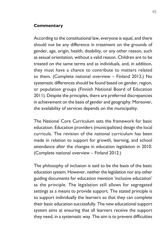#### **Commentary**

According to the constitutional law, everyone is equal, and there should not be any difference in treatment on the grounds of gender, age, origin, health, disability, or any other reason, such as sexual orientation, without a valid reason. Children are to be treated on the same terms and as individuals, and, in addition, they must have a chance to contribute to matters related to them. (Complete national overview – Finland 2012.) No systematic differences should be found based on gender, region, or population groups (Finnish National Board of Education 2011). Despite the principles, there are preferred discrepancies in achievement on the basis of gender and geography. Moreover, the availability of services depends on the municipality.

The National Core Curriculum sets the framework for basic education. Education providers (municipalities) design the local curricula. The revision of the national curriculum has been made in relation to support for growth, learning, and school attendance after the changes in education legislation in 2010. (Complete national overview – Finland 2012.)

The philosophy of inclusion is said to be the basis of the basic education system. However, neither the legislation nor any other guiding documents for education mention 'inclusive education' as the principle. The legislation still allows for segregated settings as a means to provide support. The stated principle is to support individually the learners so that they can complete their basic education successfully. The new educational support system aims at ensuring that all learners receive the support they need, in a systematic way. The aim is to prevent difficulties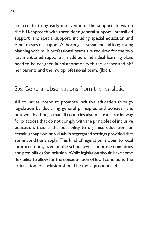to accentuate by early intervention. The support draws on the RTI-approach with three tiers: general support, intensified support, and special support, including special education and other means of support. A thorough assessment and long-lasting planning with multiprofessional teams are required for the two last mentioned supports. In addition, individual learning plans need to be designed in collaboration with the learner and his/ her parents and the multiprofessional team. (Ibid*.*).

# 3.6. General observations from the legislation

All countries intend to promote inclusive education through legislation by declaring general principles and policies. It is noteworthy though that all countries also make a clear leeway for practices that do not comply with the principles of inclusive education: that is, the possibility to organise education for certain groups or individuals in segregated settings provided that some conditions apply. This kind of legislation is open to local interpretations, even on the school level, about the conditions and possibilities for inclusion. While legislation should have some flexibility to allow for the consideration of local conditions, the articulation for inclusion should be more pronounced.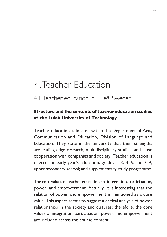# 4. Teacher Education

# 4.1. Teacher education in Luleå, Sweden

### **Structure and the contents of teacher education studies at the Luleå University of Technology**

Teacher education is located within the Department of Arts, Communication and Education, Division of Language and Education. They state in the university that their strengths are leading-edge research, multidisciplinary studies, and close cooperation with companies and society. Teacher education is offered for early year's education, grades 1–3, 4–6, and 7–9; upper secondary school; and supplementary study programme.

The core values of teacher education are integration, participation, power, and empowerment. Actually, it is interesting that the relation of power and empowerment is mentioned as a core value. This aspect seems to suggest a critical analysis of power relationships in the society and cultures; therefore, the core values of integration, participation, power, and empowerment are included across the course content.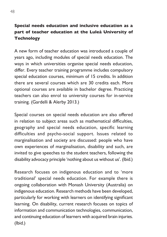### **Special needs education and inclusive education as a part of teacher education at the Luleå University of Technology**

A new form of teacher education was introduced a couple of years ago, including modules of special needs education. The ways in which universities organise special needs education, differ. Every teacher training programme includes compulsory special education courses, minimum of 15 credits. In addition there are several courses which are 30 credits each. More optional courses are available in bachelor degree. Practicing teachers can also enrol to university courses for in-service training. (Gardelli & Alerby 2013.)

Special courses on special needs education are also offered in relation to subject areas such as mathematical difficulties, geography and special needs education, specific learning difficulties and psycho-social support. Issues related to marginalisation and society are discussed: people who have own experiences of marginalisation, disability and such, are invited to give speeches to the student teachers, following the disability advocacy principle 'nothing about us without us'. (Ibid.)

Research focuses on indigenous education and to 'more traditional' special needs education. For example there is ongoing collaboration with Monash University (Australia) on indigenous education. Research methods have been developed, particularly for working with learners on identifying significant learning. On disability, current research focuses on topics of information and communication technologies, communication, and continuing education of learners with acquired brain injuries. (Ibid.)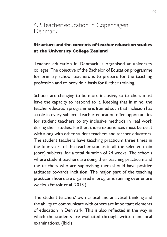### 4.2. Teacher education in Copenhagen, Denmark

### **Structure and the contents of teacher education studies at the University College Zealand**

Teacher education in Denmark is organised at university colleges. The objective of the Bachelor of Education programme for primary school teachers is to prepare for the teaching profession and to provide a basis for further training.

Schools are changing to be more inclusive, so teachers must have the capacity to respond to it. Keeping that in mind, the teacher education programme is framed such that inclusion has a role in every subject. Teacher education offer opportunities for student teachers to try inclusive methods in real work during their studies. Further, those experiences must be dealt with along with other student teachers and teacher educators. The student teachers have teaching practicum three times in the four years of the teacher studies in all the selected main (core) subjects, for a total duration of 24 weeks. The schools where student teachers are doing their teaching practicum and the teachers who are supervising them should have positive attitudes towards inclusion. The major part of the teaching practicum hours are organised in programs running over entire weeks. (Emtoft et al. 2013.)

The student teachers' own critical and analytical thinking and the ability to communicate with others are important elements of education in Denmark. This is also reflected in the way in which the students are evaluated through written and oral examinations. (Ibid*.*)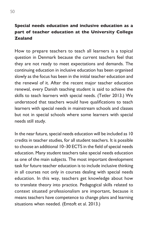### **Special needs education and inclusive education as a part of teacher education at the University College Zealand**

How to prepare teachers to teach all learners is a topical question in Denmark because the current teachers feel that they are not ready to meet expectations and demands. The continuing education in inclusive education has been organised slowly as the focus has been in the initial teacher education and the renewal of it. After the recent major teacher education renewal, every Danish teaching student is said to achieve the skills to teach learners with special needs. (Tetler 2013.) We understood that teachers would have qualifications to teach learners with special needs in mainstream schools and classes but not in special schools where some learners with special needs still study.

In the near future, special needs education will be included as 10 credits in teacher studies, for all student teachers. It is possible to choose an additional 10–30 ECTS in the field of special needs education. Many student teachers take special needs education as one of the main subjects. The most important development task for future teacher education is to include inclusive thinking in all courses not only in courses dealing with special needs education. In this way, teachers get knowledge about how to translate theory into practice. Pedagogical skills related to context situated professionalism are important, because it means teachers have competence to change plans and learning situations when needed. (Emtoft et al. 2013.)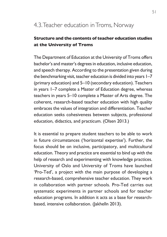# 4.3. Teacher education in Troms, Norway

### **Structure and the contents of teacher education studies at the University of Troms**

The Department of Education at the University of Troms offers bachelor's and master's degrees in education, inclusive education, and speech therapy. According to the presentation given during the benchmarking visit, teacher education is divided into years 1–7 (primary education) and 5–10 (secondary education). Teachers in years 1–7 complete a Master of Education degree, whereas teachers in years 5–10 complete a Master of Arts degree. The coherent, research-based teacher education with high quality embraces the values of integration and differentiation. Teacher education seeks cohesiveness between subjects, professional education, didactics, and practicum. (Olsen 2013.)

It is essential to prepare student teachers to be able to work in future circumstances ('horizontal expertise'). Further, the focus should be on inclusive, participatory, and multicultural education. Theory and practice are essential to bind up with the help of research and experimenting with knowledge practices. University of Oslo and University of Troms have launched 'Pro-Ted', a project with the main purpose of developing a research-based, comprehensive teacher education. They work in collaboration with partner schools. Pro-Ted carries out systematic experiments in partner schools and for teacher education programs. In addition it acts as a base for researchbased, intensive collaboration. (Jakhelln 2013).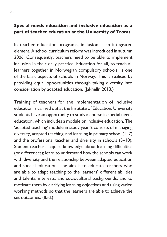#### **Special needs education and inclusive education as a part of teacher education at the University of Troms**

In teacher education programs, inclusion is an integrated element. A school curriculum reform was introduced in autumn 2006. Consequently, teachers need to be able to implement inclusion in their daily practice. Education for all, to teach all learners together in Norwegian compulsory schools, is one of the basic aspects of schools in Norway. This is realised by providing equal opportunities through taking diversity into consideration by adapted education. (Jakhelln 2013.)

Training of teachers for the implementation of inclusive education is carried out at the Institute of Education. University students have an opportunity to study a course in special needs education, which includes a module on inclusive education. The 'adapted teaching' module in study year 2 consists of managing diversity, adapted teaching, and learning in primary school (1–7) and the professional teacher and diversity in schools (5–10). Student teachers acquire knowledge about learning difficulties (or differences); learn to understand how the schools can work with diversity and the relationship between adapted education and special education. The aim is to educate teachers who are able to adapt teaching to the learners' different abilities and talents, interests, and sociocultural backgrounds, and to motivate them by clarifying learning objectives and using varied working methods so that the learners are able to achieve the set outcomes. (Ibid.)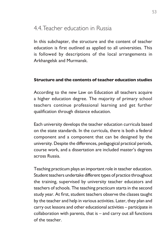# 4.4. Teacher education in Russia

In this subchapter, the structure and the content of teacher education is first outlined as applied to all universities. This is followed by descriptions of the local arrangements in Arkhangelsk and Murmansk.

#### **Structure and the contents of teacher education studies**

According to the new Law on Education all teachers acquire a higher education degree. The majority of primary school teachers continue professional learning and get further qualification through distance education.

Each university develops the teacher education curricula based on the state standards. In the curricula, there is both a federal component and a component that can be designed by the university. Despite the differences, pedagogical practical periods, course work, and a dissertation are included master's degrees across Russia.

Teaching practicum plays an important role in teacher education. Student teachers undertake different types of practice throughout the training, supervised by university teacher educators and teachers of schools. The teaching practicum starts in the second study year. At first, student teachers observe the classes taught by the teacher and help in various activities. Later, they plan and carry out lessons and other educational activities – participate in collaboration with parents, that is – and carry out all functions of the teacher.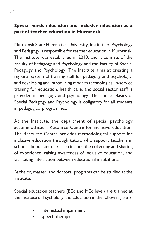### **Special needs education and inclusive education as a part of teacher education in Murmansk**

Murmansk State Humanities University, Institute of Psychology and Pedagogy is responsible for teacher education in Murmansk. The Institute was established in 2010, and it consists of the Faculty of Pedagogy and Psychology and the Faculty of Special Pedagogy and Psychology. The Institute aims at creating a regional system of training staff for pedagogy and psychology, and developing and introducing modern technologies. In-service training for education, health care, and social sector staff is provided in pedagogy and psychology. The course Basics of Special Pedagogy and Psychology is obligatory for all students in pedagogical programmes.

At the Institute, the department of special psychology accommodates a Resource Centre for inclusive education. The Resource Centre provides methodological support for inclusive education through tutors who support teachers in schools. Important tasks also include the collecting and sharing of experience, raising awareness of inclusive education, and facilitating interaction between educational institutions.

Bachelor, master, and doctoral programs can be studied at the Institute.

Special education teachers (BEd and MEd level) are trained at the Institute of Psychology and Education in the following areas:

- intellectual impairment
- speech therapy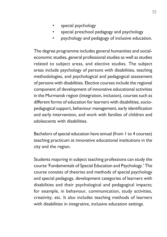- special psychology
- special preschool pedagogy and psychology
- psychology and pedagogy of inclusive education.

The degree programme includes general humanities and socialeconomic studies, general professional studies as well as studies related to subject areas, and elective studies. The subject areas include psychology of persons with disabilities, teaching methodologies, and psychological and pedagogical assessment of persons with disabilities. Elective courses include the regional component of development of innovative educational activities in the Murmansk region (integration, inclusion), courses such as different forms of education for learners with disabilities, sociopedagogical support, behaviour management, early identification and early intervention, and work with families of children and adolescents with disabilities.

Bachelors of special education have annual (from 1 to 4 courses) teaching practicum at innovative educational institutions in the city and the region.

Students majoring in subject teaching professions can study the course 'Fundamentals of Special Education and Psychology.' The course consists of theories and methods of special psychology and special pedagogy, development categories of learners with disabilities and their psychological and pedagogical impacts; for example, in behaviour, communication, study activities, creativity, etc. It also includes teaching methods of learners with disabilities in integrative, inclusive education settings.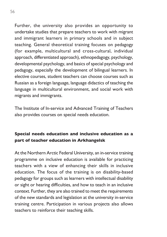Further, the university also provides an opportunity to undertake studies that prepare teachers to work with migrant and immigrant learners in primary schools and in subject teaching. General theoretical training focuses on pedagogy (for example, multicultural and cross-cultural, individual approach, differentiated approach), ethnopedagogy, psychology, developmental psychology, and basics of special psychology and pedagogy, especially the development of bilingual learners. In elective courses, student teachers can choose courses such as Russian as a foreign language, language didactics of teaching the language in multicultural environment, and social work with migrants and immigrants.

The Institute of In-service and Advanced Training of Teachers also provides courses on special needs education.

### **Special needs education and inclusive education as a part of teacher education in Arkhangelsk**

At the Northern Arctic Federal University, an in-service training programme on inclusive education is available for practicing teachers with a view of enhancing their skills in inclusive education. The focus of the training is on disability-based pedagogy for groups such as learners with intellectual disability or sight or hearing difficulties, and how to teach in an inclusive context. Further, they are also trained to meet the requirements of the new standards and legislation at the university in-service training centre. Participation in various projects also allows teachers to reinforce their teaching skills.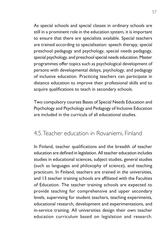As special schools and special classes in ordinary schools are still in a prominent role in the education system, it is important to ensure that there are specialists available. Special teachers are trained according to specialisation: speech therapy, special preschool pedagogy and psychology, special needs pedagogy, special psychology, and preschool special needs education. Master programmes offer topics such as psychological development of persons with developmental delays, psychology, and pedagogy of inclusive education. Practicing teachers can participate in distance education to improve their professional skills and to acquire qualifications to teach in secondary schools.

Two compulsory courses Bases of Special Needs Education and Psychology and Psychology and Pedagogy of Inclusive Education are included in the curricula of all educational studies.

# 4.5. Teacher education in Rovaniemi, Finland

In Finland, teacher qualifications and the breadth of teacher education are defined in legislation. All teacher education includes studies in educational sciences, subject studies, general studies (such as languages and philosophy of science), and teaching practicum. In Finland, teachers are trained in the universities, and 13 teacher training schools are affiliated with the Faculties of Education. The teacher training schools are expected to provide teaching for comprehensive and upper secondary levels, supervising for student teachers, teaching experiments, educational research, development and experimentations, and in-service training. All universities design their own teacher education curriculum based on legislation and research.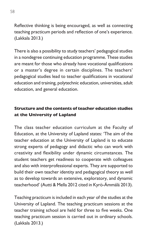Reflective thinking is being encouraged, as well as connecting teaching practicum periods and reflection of one's experience. (Lakkala 2013.)

There is also a possibility to study teachers' pedagogical studies in a nondegree continuing education programme. These studies are meant for those who already have vocational qualifications or a master's degree in certain disciplines. The teachers' pedagogical studies lead to teacher qualifications in vocational education and training, polytechnic education, universities, adult education, and general education.

### **Structure and the contents of teacher education studies at the University of Lapland**

The class teacher education curriculum at the Faculty of Education, at the University of Lapland states: 'The aim of the teacher education at the University of Lapland is to educate strong experts of pedagogy and didactic who can work with creativity and flexibility under dynamic circumstances. The student teachers get readiness to cooperate with colleagues and also with interprofessional experts. They are supported to build their own teacher identity and pedagogical theory as well as to develop towards an extensive, exploratory, and dynamic teacherhood' (Autti & Mella 2012 cited in Kyrö-Ämmälä 2013).

Teaching practicum is included in each year of the studies at the University of Lapland. The teaching practicum sessions at the teacher training school are held for three to five weeks. One teaching practicum session is carried out in ordinary schools. (Lakkala 2013.)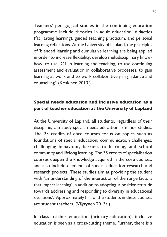Teachers' pedagogical studies in the continuing education programme include theories in adult education, didactics (facilitating learning), guided teaching practicum, and personal learning reflections. At the University of Lapland, the principles of 'blended learning and cumulative learning are being applied in order to increase flexibility, develop multidisciplinary knowhow, to use ICT in learning and teaching, to use continuing assessment and evaluation in collaborative processes, to gain learning at work and to work collaboratively in guidance and counselling'. (Koskinen 2013.)

### **Special needs education and inclusive education as a part of teacher education at the University of Lapland**

At the University of Lapland, all students, regardless of their discipline, can study special needs education as minor studies. The 25 credits of core courses focus on topics such as foundations of special education, communication challenges, challenging behaviour, barriers to learning, and school community and lifelong learning. The 35 credits of specialisation courses deepen the knowledge acquired in the core courses, and also include elements of special education research and research projects. These studies aim at providing the student with 'an understanding of the interaction of the range factors that impact learning' in addition to adopting 'a positive attitude towards addressing and responding to diversity in educational situations'. Approximately half of the students in these courses are student teachers. (Väyrynen 2013a.)

In class teacher education (primary education), inclusive education is seen as a cross-cutting theme. Further, there is a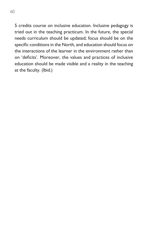5 credits course on inclusive education. Inclusive pedagogy is tried out in the teaching practicum. In the future, the special needs curriculum should be updated; focus should be on the specific conditions in the North, and education should focus on the interactions of the learner in the environment rather than on 'deficits'. Moreover, the values and practices of inclusive education should be made visible and a reality in the teaching at the faculty. (Ibid*.*)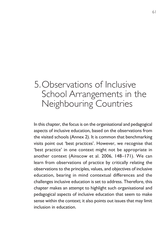# 5. Observations of Inclusive School Arrangements in the Neighbouring Countries

In this chapter, the focus is on the organisational and pedagogical aspects of inclusive education, based on the observations from the visited schools (Annex 2). It is common that benchmarking visits point out 'best practices'. However, we recognise that 'best practice' in one context might not be appropriate in another context (Ainscow et al. 2006, 148–171). We can learn from observations of practice by critically relating the observations to the principles, values, and objectives of inclusive education, bearing in mind contextual differences and the challenges inclusive education is set to address. Therefore, this chapter makes an attempt to highlight such organisational and pedagogical aspects of inclusive education that seem to make sense within the context; it also points out issues that may limit inclusion in education.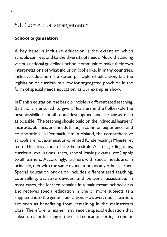# 5.1. Contextual arrangements

#### **School organisation**

A key issue in inclusive education is the extent to which schools can respond to the diversity of needs. Notwithstanding various national guidelines, school communities make their own interpretations of what inclusion looks like. In many countries, inclusive education is a stated principle of education, but the legislation or curriculum allow for segregated provision in the form of special needs education, as our examples show.

In Danish education, the basic principle is differentiated teaching. By that, it is ensured 'to give all learners in the Folkeskole the best possibilities for all-round development and learning as much as possible'. The teaching should build on the individual learners' interests, abilities, and needs through common experiences and collaboration. In Denmark, like in Finland, the comprehensive schools are not examination-oriented (Undervisnings Ministeriet n.d.). The provisions of the Folkeskole Act (regarding aims, curricula, evaluations, tests, school leaving exams, etc.) apply to all learners. Accordingly, learners with special needs are, in principle, met with the same expectations as any other learner. Special education provision includes differentiated teaching, counselling, assistive devices, and personal assistance. In most cases, the learner remains in a mainstream school class and receives special education in one or more subjects as a supplement to the general education. However, not all learners are seen as benefitting from remaining in the mainstream class. Therefore, a learner may receive special education that substitutes for learning in the usual education setting in one or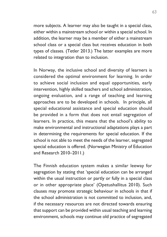more subjects. A learner may also be taught in a special class, either within a mainstream school or within a special school. In addition, the learner may be a member of either a mainstream school class or a special class but receives education in both types of classes. (Tetler 2013.) The latter examples are more related to integration than to inclusion.

In Norway, the inclusive school and diversity of learners is considered the optimal environment for learning. In order to achieve social inclusion and equal opportunities, early intervention, highly skilled teachers and school administration, ongoing evaluation, and a range of teaching and learning approaches are to be developed in schools. In principle, all special educational assistance and special education should be provided in a form that does not entail segregation of learners. In practice, this means that the school's ability to make environmental and instructional adaptations plays a part in determining the requirements for special education. If the school is not able to meet the needs of the learner, segregated special education is offered. (Norwegian Ministry of Education and Research 2010–2011.)

The Finnish education system makes a similar leeway for segregation by stating that 'special education can be arranged within the usual instruction or partly or fully in a special class or in other appropriate place' (Opetushallitus 2010). Such clauses may promote strategic behaviour in schools in that if the school administration is not committed to inclusion, and, if the necessary resources are not directed towards ensuring that support can be provided within usual teaching and learning environment, schools may continue old practice of segregated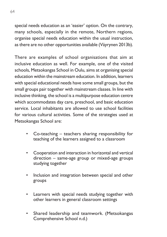special needs education as an 'easier' option. On the contrary, many schools, especially in the remote, Northern regions, organise special needs education within the usual instruction, as there are no other opportunities available (Väyrynen 2013b).

There are examples of school organisations that aim at inclusive education as well. For example, one of the visited schools, Metsokangas School in Oulu, aims at organising special education within the mainstream education. In addition, learners with special educational needs have some small groups, but the small groups pair together with mainstream classes. In line with inclusive thinking, the school is a multipurpose education centre which accommodates day care, preschool, and basic education service. Local inhabitants are allowed to use school facilities for various cultural activities. Some of the strategies used at Metsokangas School are:

- Co-teaching teachers sharing responsibility for teaching of the learners assigned to a classroom
- Cooperation and interaction in horizontal and vertical direction – same-age group or mixed-age groups studying together
- Inclusion and integration between special and other groups
- Learners with special needs studying together with other learners in general classroom settings
- Shared leadership and teamwork. (Metsokangas Comprehensive School n.d.)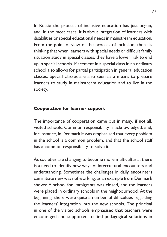In Russia the process of inclusive education has just begun, and, in the most cases, it is about integration of learners with disabilities or special educational needs in mainstream education. From the point of view of the process of inclusion, there is thinking that when learners with special needs or difficult family situation study in special classes, they have a lower risk to end up in special schools. Placement in a special class in an ordinary school also allows for partial participation in general education classes. Special classes are also seen as a means to prepare learners to study in mainstream education and to live in the society.

#### **Cooperation for learner support**

The importance of cooperation came out in many, if not all, visited schools. Common responsibility is acknowledged, and, for instance, in Denmark it was emphasised that every problem in the school is a common problem, and that the school staff has a common responsibility to solve it.

As societies are changing to become more multicultural, there is a need to identify new ways of intercultural encounters and understanding. Sometimes the challenges in daily encounters can initiate new ways of working, as an example from Denmark shows: A school for immigrants was closed, and the learners were placed in ordinary schools in the neighbourhood. At the beginning, there were quite a number of difficulties regarding the learners' integration into the new schools. The principal in one of the visited schools emphasised that teachers were encouraged and supported to find pedagogical solutions in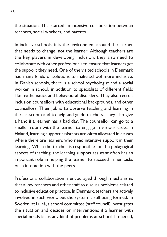the situation. This started an intensive collaboration between teachers, social workers, and parents.

In inclusive schools, it is the environment around the learner that needs to change, not the learner. Although teachers are the key players in developing inclusion, they also need to collaborate with other professionals to ensure that learners get the support they need. One of the visited schools in Denmark had many kinds of solutions to make school more inclusive. In Danish schools, there is a school psychologist and a social worker in school, in addition to specialists of different fields like mathematics and behavioural disorders. They also recruit inclusion counsellors with educational backgrounds, and other counsellors. Their job is to observe teaching and learning in the classroom and to help and guide teachers. They also give a hand if a learner has a bad day. The counsellor can go to a smaller room with the learner to engage in various tasks. In Finland, learning support assistants are often allocated in classes where there are learners who need intensive support in their learning. While the teacher is responsible for the pedagogical aspects of teaching, the learning support assistant often has an important role in helping the learner to succeed in her tasks or in interaction with the peers.

Professional collaboration is encouraged through mechanisms that allow teachers and other staff to discuss problems related to inclusive education practice. In Denmark, teachers are actively involved in such work, but the system is still being formed. In Sweden, at Luleå, a school committee (staff council) investigates the situation and decides on interventions if a learner with special needs faces any kind of problems at school. If needed,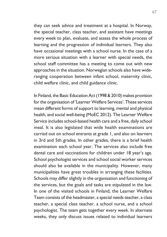they can seek advice and treatment at a hospital. In Norway, the special teacher, class teacher, and assistant have meetings every week to plan, evaluate, and assess the whole process of learning and the progression of individual learners. They also have occasional meetings with a school nurse. In the case of a more serious situation with a learner with special needs, the school staff committee has a meeting to come out with new approaches in the situation. Norwegian schools also have wideranging cooperation between infant school, maternity clinic, child welfare clinic, and child guidance clinic.

In Finland, the Basic Education Act (1998 & 2010) makes provision for the organisation of 'Learner Welfare Services'. These services mean different forms of support to learning, mental and physical health, and social well-being (MoEC 2012). The Learner Welfare Service includes school-based health care and a free, daily school meal. It is also legislated that wide health examinations are carried out on school entrants at grade 1, and also on learners in 3rd and 5th grades. In other grades, there is a brief health examination each school year. The services also include free dental care and vaccinations for children under 18 year's age. School psychologist services and school social worker services should also be available in the municipality. However, many municipalities have great troubles in arranging these facilities. Schools may differ slightly in the organisation and functioning of the services, but the goals and tasks are stipulated in the law. In one of the visited schools in Finland, the Learner Welfare Team consists of the headmaster, a special needs teacher, a class teacher, a special class teacher, a school nurse, and a school psychologist. The team gets together every week. In alternate weeks, they only discuss issues related to individual learners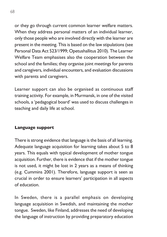or they go through current common learner welfare matters. When they address personal matters of an individual learner, only those people who are involved directly with the learner are present in the meeting. This is based on the law stipulations (see Personal Data Act 523/1999; Opetushallitus 2010). The Learner Welfare Team emphasises also the cooperation between the school and the families; they organise joint meetings for parents and caregivers, individual encounters, and evaluation discussions with parents and caregivers.

Learner support can also be organised as continuous staff training activity. For example, in Murmansk, in one of the visited schools, a 'pedagogical board' was used to discuss challenges in teaching and daily life at school.

#### **Language support**

There is strong evidence that language is the basis of all learning. Adequate language acquisition for learning takes about 5 to 8 years. This equals with typical development of mother tongue acquisition. Further, there is evidence that if the mother tongue is not used, it might be lost in 2 years as a means of thinking (e.g. Cummins 2001). Therefore, language support is seen as crucial in order to ensure learners' participation in all aspects of education.

In Sweden, there is a parallel emphasis on developing language acquisition in Swedish, and maintaining the mother tongue. Sweden, like Finland, addresses the need of developing the language of instruction by providing preparatory education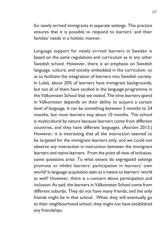for newly arrived immigrants in separate settings. This practice ensures that it is possible to respond to learners' and their families' needs in a holistic manner.

Language support for newly arrived learners in Sweden is based on the same regulations and curriculum as in any other Swedish school. However, there is an emphasis on Swedish language, culture, and society embedded in the curriculum, so as to facilitate the integration of learners into Swedish society. In Luleå, about 20% of learners have immigrant backgrounds, but not all of them have studied in the language programme in the Välkomsten School that we visited. The time learners spend in Välkomsten depends on their ability to acquire a certain level of language. It can be something between 3 months to 24 months, but most learners stay about 10 months. The school is multicultural by nature because learners come from different countries, and they have different languages. (Åström 2013.) However, it is interesting that all the instruction seemed to be targeted for the immigrant learners only, and we could not observe any interaction in instruction between the immigrant learners and native learners. From the point of view of inclusion, some questions arise: To what extent do segregated settings promote or inhibit learners' participation in learners' own world? Is language acquisition seen as a means to learners' world as well? However, there is a concern about participation and inclusion. As said, the learners in Välkomsten School come from different suburbs. They do not have many friends, and the only friends might be in that school. When they will eventually go to their neighbourhood school, they might not have established any friendships.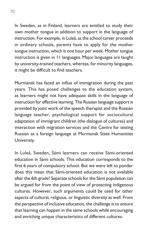In Sweden, as in Finland, learners are entitled to study their own mother tongue in addition to support in the language of instruction. For example, in Luleå, as the school career proceeds in ordinary schools, parents have to apply for the mother tongue instruction, which is one hour per week. Mother tongue instruction is given in 11 languages. Major languages are taught by university-trained teachers, whereas, for minority languages, it might be difficult to find teachers.

Murmansk has faced an influx of immigration during the past years. This has posed challenges to the education system, as learners might not have adequate skills in the language of instruction for effective learning. The Russian language support is provided by joint work of the speech therapist and the Russian language teacher, psychological support for sociocultural adaptation of immigrant children (the dialogue of cultures) and interaction with migration services and the Centre for testing Russian as a foreign language at Murmansk State Humanities Univeristy.

In Luleå, Sweden, Sámi learners can receive Sámi-oriented education in Sámi schools. This education corresponds to the first 6 years of compulsory school. But we were left to ponder does this mean that Sámi-oriented education is not available after the 6th grade? Separate schools for the Sámi population can be argued for from the point of view of protecting indigenous cultures. However, such arguments could be used for other aspects of cultural, religious, or linguistic diversity as well. From the perspective of inclusive education, the challenge is to ensure that learning can happen in the same schools while encouraging and enriching unique characteristics of different cultures.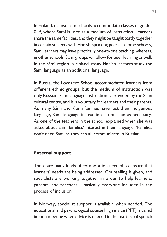In Finland, mainstream schools accommodate classes of grades 0–9, where Sámi is used as a medium of instruction. Learners share the same facilities, and they might be taught partly together in certain subjects with Finnish-speaking peers. In some schools, Sámi learners may have practically one-to-one teaching, whereas, in other schools, Sámi groups will allow for peer learning as well. In the Sámi region in Finland, many Finnish learners study the Sámi language as an additional language.

In Russia, the Lovozero School accommodated learners from different ethnic groups, but the medium of instruction was only Russian. Sámi language instruction is provided by the Sámi cultural centre, and it is voluntary for learners and their parents. As many Sámi and Komi families have lost their indigenous language, Sámi language instruction is not seen as necessary. As one of the teachers in the school explained when she was asked about Sámi families' interest in their language: 'Families don't need Sámi as they can all communicate in Russian'.

#### **External support**

There are many kinds of collaboration needed to ensure that learners' needs are being addressed. Counselling is given, and specialists are working together in order to help learners, parents, and teachers – basically everyone included in the process of inclusion.

In Norway, specialist support is available when needed. The educational and psychological counselling service (PPT) is called in for a meeting when advice is needed in the matters of speech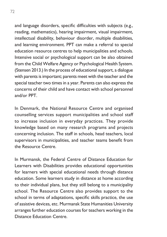and language disorders, specific difficulties with subjects (e.g., reading, mathematics), hearing impairment, visual impairment, intellectual disability, behaviour disorder, multiple disabilities, and learning environment. PPT can make a referral to special education resource centres to help municipalities and schools. Intensive social or psychological support can be also obtained from the Child Welfare Agency or Psychological Health System. (Stensen 2013.) In the process of educational support, a dialogue with parents is important; parents meet with the teacher and the special teacher two times in a year. Parents can also express the concerns of their child and have contact with school personnel and/or PPT.

In Denmark, the National Resource Centre and organised counselling services support municipalities and school staff to increase inclusion in everyday practices. They provide knowledge based on many research programs and projects concerning inclusion. The staff in schools, head teachers, local supervisors in municipalities, and teacher teams benefit from the Resource Centre.

In Murmansk, the Federal Centre of Distance Education for Learners with Disabilities provides educational opportunities for learners with special educational needs through distance education. Some learners study in distance at home according to their individual plans, but they still belong to a municipality school. The Resource Centre also provides support to the school in terms of adaptations, specific skills practice, the use of assistive devices, etc. Murmansk State Humanities University arranges further education courses for teachers working in the Distance Education Centre.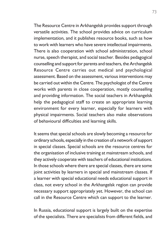The Resource Centre in Arkhangelsk provides support through versatile activities. The school provides advice on curriculum implementation, and it publishes resource books, such as how to work with learners who have severe intellectual impairments. There is also cooperation with school administration, school nurse, speech therapist, and social teacher. Besides pedagogical counselling and support for parents and teachers, the Archangelsk Resource Centre carries out medical and psychological assessment. Based on the assessment, various interventions may be carried out within the Centre. The psychologist of the Centre works with parents in close cooperation, mostly counselling and providing information. The social teachers in Arkhangelsk help the pedagogical staff to create an appropriate learning environment for every learner, especially for learners with physical impairments. Social teachers also make observations of behavioural difficulties and learning skills.

It seems that special schools are slowly becoming a resource for ordinary schools, especially in the creation of a network of support in special classes. Special schools are the resource centres for the organisation of inclusive training at mainstream schools, and they actively cooperate with teachers of educational institutions. In those schools where there are special classes, there are some joint activities by learners in special and mainstream classes. If a learner with special educational needs educational support in class, not every school in the Arkhangelsk region can provide necessary support appropriately yet. However, the school can call in the Resource Centre which can support to the learner.

In Russia, educational support is largely built on the expertise of the specialists. There are specialists from different fields, and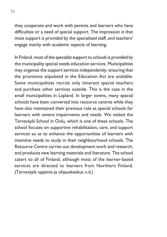they cooperate and work with parents and learners who have difficulties or a need of special support. The impression is that most support is provided by the specialised staff, and teachers' engage mainly with academic aspects of learning.

In Finland, most of the specialist support to schools is provided by the municipality special needs education services. Municipalities may organise the support services independently, ensuring that the provisions stipulated in the Education Act are available. Some municipalities recruit only itinerant special teachers and purchase other services outside. This is the case in the small municipalities in Lapland. In larger towns, many special schools have been converted into resource centres while they have also maintained their previous role as special schools for learners with severe impairments and needs. We visited the Tervaväylä School in Oulu, which is one of these schools. The school focuses on supportive rehabilitation, care, and support services so as to enhance the opportunities of learners with intensive needs to study in their neighbourhood schools. The Resource Centre carries out development work and research, and produces new learning materials and literature. The school caters to all of Finland, although most of the learner-based services are directed to learners from Northern Finland. (Tervaväylä oppimis-ja ohjauskeskus n.d.)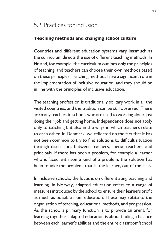### 5.2. Practices for inclusion

### **Teaching methods and changing school culture**

Countries and different education systems vary inasmuch as the curriculum directs the use of different teaching methods. In Finland, for example, the curriculum outlines only the principles of teaching, and teachers can choose their own methods based on these principles. Teaching methods have a significant role in the implementation of inclusive education, and they should be in line with the principles of inclusive education.

The teaching profession is traditionally solitary work in all the visited countries, and the tradition can be still observed. There are many teachers in schools who are used to working alone, just doing their job and getting home. Independence does not apply only to teaching but also in the ways in which teachers relate to each other. In Denmark, we reflected on the fact that it has not been common to try to find solutions to difficult situation through discussions between teachers, special teachers, and principals. If there has been a problem, for example a learner who is faced with some kind of a problem, the solution has been to take the problem, that is, the learner, out of the class.

In inclusive schools, the focus is on differentiating teaching and learning. In Norway, adapted education refers to a range of measures introduced by the school to ensure their learners profit as much as possible from education. These may relate to the organisation of teaching, educational methods, and progression. As the school's primary function is to provide an arena for learning together, adapted education is about finding a balance between each learner's abilities and the entire classroom/school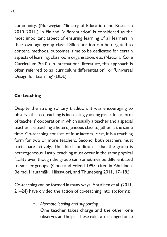community. (Norwegian Ministry of Education and Research 2010–2011.) In Finland, 'differentiation' is considered as the most important aspect of ensuring learning of all learners in their own age-group class. Differentiation can be targeted to content, methods, outcomes, time to be dedicated for certain aspects of learning, classroom organisation, etc. (National Core Curriculum 2010.) In international literature, this approach is often referred to as 'curriculum differentiation', or 'Universal Design for Learning' (UDL).

### **Co-teaching**

Despite the strong solitary tradition, it was encouraging to observe that co-teaching is increasingly taking place. It is a form of teachers' cooperation in which usually a teacher and a special teacher are teaching a heterogeneous class together at the same time. Co-teaching consists of four factors. First, it is a teaching form for two or more teachers. Second, both teachers must participate actively. The third condition is that the group is heterogeneous. Lastly, teaching must occur in the same physical facility even though the group can sometimes be differentiated to smaller groups. (Cook and Friend 1995, cited in Ahtiainen, Beirad, Hautamäki, Hilasvuori, and Thuneberg 2011, 17–18.)

Co-teaching can be formed in many ways. Ahtiainen et al. (2011, 21–24) have divided the action of co-teaching into six forms:

> *• Alternate leading and supporting* One teacher takes charge and the other one observes and helps. These roles are changed once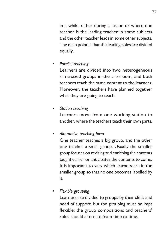in a while, either during a lesson or where one teacher is the leading teacher in some subjects and the other teacher leads in some other subjects. The main point is that the leading roles are divided equally.

*• Parallel teaching*

Learners are divided into two heterogeneous same-sized groups in the classroom, and both teachers teach the same content to the learners. Moreover, the teachers have planned together what they are going to teach.

*• Station teaching*

Learners move from one working station to another, where the teachers teach their own parts.

*• Alternative teaching form*

• One teacher teaches a big group, and the other one teaches a small group. Usually the smaller group focuses on revising and enriching the contents taught earlier or anticipates the contents to come. It is important to vary which learners are in the smaller group so that no one becomes labelled by it.

*• Flexible grouping*

Learners are divided to groups by their skills and need of support, but the grouping must be kept flexible; the group compositions and teachers' roles should alternate from time to time.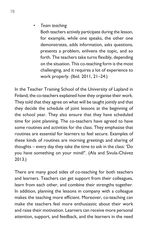### *• Team teaching*

Both teachers actively participate during the lesson, for example, while one speaks, the other one demonstrates, adds information, asks questions, presents a problem, enlivens the topic, and so forth. The teachers take turns flexibly, depending on the situation. This co-teaching form is the most challenging, and it requires a lot of experience to work properly. (Ibid. 2011, 21–24.)

In the Teacher Training School of the University of Lapland in Finland, the co-teachers explained how they organise their work. They told that they agree on what will be taught jointly and that they decide the schedule of joint lessons at the beginning of the school year. They also ensure that they have scheduled time for joint planning. The co-teachers have agreed to have some routines and activities for the class. They emphasise that routines are essential for learners to feel secure. Examples of these kinds of routines are morning greetings and sharing of thoughts – every day they take the time to ask in the class: 'Do you have something on your mind?'. (Ala and Sivula-Chávez 2013.)

There are many good sides of co-teaching for both teachers and learners. Teachers can get support from their colleagues, learn from each other, and combine their strengths together. In addition, planning the lessons in company with a colleague makes the teaching more efficient. Moreover, co-teaching can make the teachers feel more enthusiastic about their work and raise their motivation. Learners can receive more personal attention, support, and feedback, and the learners in the need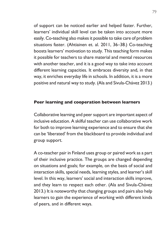of support can be noticed earlier and helped faster. Further, learners' individual skill level can be taken into account more easily. Co-teaching also makes it possible to take care of problem situations faster. (Ahtiainen et. al. 2011, 36–38.) Co-teaching boosts learners' motivation to study. This teaching form makes it possible for teachers to share material and mental resources with another teacher, and it is a good way to take into account different learning capacities. It embraces diversity and, in that way, it enriches everyday life in schools. In addition, it is a more positive and natural way to study. (Ala and Sivula-Chávez 2013.)

### **Peer learning and cooperation between learners**

Collaborative learning and peer support are important aspect of inclusive education. A skilful teacher can use collaborative work for both to improve learning experience and to ensure that she can be 'liberated' from the blackboard to provide individual and group support.

A co-teacher pair in Finland uses group or paired work as a part of their inclusive practice. The groups are changed depending on situations and goals; for example, on the basis of social and interaction skills, special needs, learning styles, and learner's skill level. In this way, learners' social and interaction skills improve, and they learn to respect each other. (Ala and Sivula-Chávez 2013.) It is noteworthy that changing groups and pairs also help learners to gain the experience of working with different kinds of peers, and in different ways.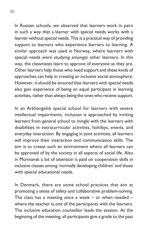In Russian schools, we observed that learners work in pairs in such a way that a learner with special needs works with a learner without special needs. This is a practical way of providing support to learners who experience barriers to learning. A similar approach was used in Norway, where learners with special needs were studying amongst other learners. In this way, the classmates learn to approve of everyone as they are. Other learners help those who need support and these kinds of approaches can help in creating an inclusive social atmosphere. However, it should be ensured that learners with special needs also gain experience of being an equal participant in learning activities, rather than always being the ones who receive support.

In an Arkhangelsk special school for learners with severe intellectual impairments, inclusion is approached by inviting learners from general school to mingle with the learners with disabilities in extracurricular activities, holidays, events, and everyday interaction. By engaging in joint activities, all learners will improve their interaction and communication skills. The aim is to create such an environment where all learners can be approved of by the society in all aspects of social life. Also in Murmansk a lot of attention is paid on cooperation skills in inclusive classes among 'normally developing children' and those with special educational needs.

In Denmark, there are some school practices that aim at promoting a sense of safety and collaborative problem-solving. The class has a meeting once a week – or when needed – where the teacher is one of the participants with the learners. The inclusive education counsellor leads the session. At the beginning of the meeting, all participants give a grade to the past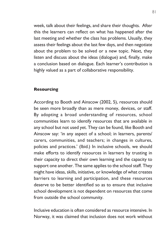week, talk about their feelings, and share their thoughts. After this the learners can reflect on what has happened after the last meeting and whether the class has problems. Usually, they assess their feelings about the last few days, and then negotiate about the problem to be solved or a new topic. Next, they listen and discuss about the ideas (dialogue) and, finally, make a conclusion based on dialogue. Each learner's contribution is highly valued as a part of collaborative responsibility.

### **Resourcing**

According to Booth and Ainscow (2002, 5), resources should be seen more broadly than as mere money, devices, or staff. By adopting a broad understanding of resources, school communities learn to identify resources that are available in any school but not used yet. They can be found, like Booth and Ainscow say: 'in any aspect of a school; in learners, parents/ carers, communities, and teachers; in changes in cultures, policies and practices.' (Ibid.) In inclusive schools, we should make efforts to identify resources in learners by trusting in their capacity to direct their own learning and the capacity to support one another. The same applies to the school staff. They might have ideas, skills, initiative, or knowledge of what creates barriers to learning and participation, and these resources deserve to be better identified so as to ensure that inclusive school development is not dependent on resources that come from outside the school community.

Inclusive education is often considered as resource intensive. In Norway, it was claimed that inclusion does not work without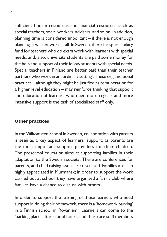sufficient human resources and financial resources such as special teachers, social workers, advisers, and so on. In addition, planning time is considered important – if there is not enough planning, it will not work at all. In Sweden, there is a special salary fund for teachers who do extra work with learners with special needs, and, also, university students are paid some money for the help and support of their fellow students with special needs. Special teachers in Finland are better paid than their teacher partners who work in an 'ordinary setting'. These organisational practices – although they might be justified as remuneration for a higher level education – may reinforce thinking that support and education of learners who need more regular and more intensive support is the task of specialised staff only.

### **Other practices**

In the Välkomsten School in Sweden, collaboration with parents is seen as a key aspect of learners' support, as parents are the most important support providers for their children. The preschool education aims at supporting families in their adaptation to the Swedish society. There are conferences for parents, and child raising issues are discussed. Families are also highly appreciated in Murmansk; in order to support the work carried out at school, they have organised a family club where families have a chance to discuss with others.

In order to support the learning of those learners who need support in doing their homework, there is a 'homework parking' in a Finnish school in Rovaniemi. Learners can come to the 'parking place' after school hours, and there are staff members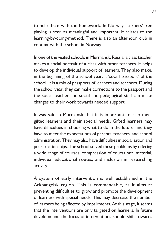to help them with the homework. In Norway, learners' free playing is seen as meaningful and important. It relates to the learning-by-doing-method. There is also an afternoon club in context with the school in Norway.

In one of the visited schools in Murmansk, Russia, a class teacher makes a social portrait of a class with other teachers. It helps to develop the individual support of learners. They also make, in the beginning of the school year, a 'social passport' of the school. It is a mix of passports of learners and teachers. During the school year, they can make corrections to the passport and the social teacher and social and pedagogical staff can make changes to their work towards needed support.

It was said in Murmansk that it is important to also meet gifted learners and their special needs. Gifted learners may have difficulties in choosing what to do in the future, and they have to meet the expectations of parents, teachers, and school administration. They may also have difficulties in socialisation and peer relationships. The school solved these problems by offering a wide range of courses, compression of educational material, individual educational routes, and inclusion in researching activity.

A system of early intervention is well established in the Arkhangelsk region. This is commendable, as it aims at preventing difficulties to grow and promote the development of learners with special needs. This may decrease the number of learners being affected by impairments. At this stage, it seems that the interventions are only targeted on learners. In future development, the focus of interventions should shift towards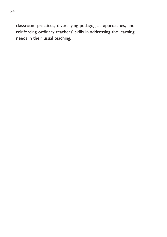classroom practices, diversifying pedagogical approaches, and reinforcing ordinary teachers' skills in addressing the learning needs in their usual teaching.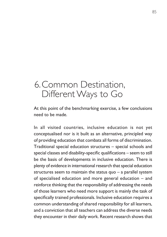## 6. Common Destination, Different Ways to Go

At this point of the benchmarking exercise, a few conclusions need to be made.

In all visited countries, inclusive education is not yet conceptualised nor is it built as an alternative, principled way of providing education that combats all forms of discrimination. Traditional special education structures – special schools and special classes and disability-specific qualifications – seem to still be the basis of developments in inclusive education. There is plenty of evidence in international research that special education structures seem to maintain the status quo – a parallel system of specialised education and more general education – and reinforce thinking that the responsibility of addressing the needs of those learners who need more support is mainly the task of specifically trained professionals. Inclusive education requires a common understanding of shared responsibility for all learners, and a conviction that all teachers can address the diverse needs they encounter in their daily work. Recent research shows that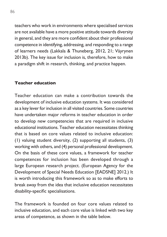teachers who work in environments where specialised services are not available have a more positive attitude towards diversity in general, and they are more confident about their professional competence in identifying, addressing, and responding to a range of learners needs (Lakkala & Thuneberg, 2012, 21; Väyrynen 2013b). The key issue for inclusion is, therefore, how to make a paradigm shift in research, thinking, and practice happen.

### **Teacher education**

Teacher education can make a contribution towards the development of inclusive education systems. It was considered as a key lever for inclusion in all visited countries. Some countries have undertaken major reforms in teacher education in order to develop new competencies that are required in inclusive educational institutions. Teacher education necessitates thinking that is based on core values related to inclusive education: (1) valuing student diversity, (2) supporting all students, (3) working with others, and (4) personal professional development. On the basis of these core values, a framework for teacher competences for inclusion has been developed through a large European research project. (European Agency for the Development of Special Needs Education [EADSNE] 2012.) It is worth introducing this framework so as to make efforts to break away from the idea that inclusive education necessitates disability-specific specialisations.

The framework is founded on four core values related to inclusive education, and each core value is linked with two key areas of competence, as shown in the table below.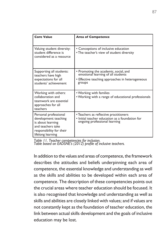| <b>Core Value</b>                                                                                                                         | <b>Area of Competence</b>                                                                                                                 |
|-------------------------------------------------------------------------------------------------------------------------------------------|-------------------------------------------------------------------------------------------------------------------------------------------|
| Valuing student diversity:<br>student difference is<br>considered as a resource                                                           | • Conceptions of inclusive education<br>• The teacher's view of student diversity                                                         |
| Supporting all students:<br>teachers have high<br>expectations for all<br>students' achievement                                           | · Promoting the academic, social, and<br>emotional learning of all students<br>• Effective teaching approaches in heterogeneous<br>groups |
| Working with others:<br>collaboration and<br>teamwork are essential<br>approaches for all<br>teachers                                     | • Working with families<br>• Working with a range of educational professionals                                                            |
| Personal professional<br>development: teaching<br>is about learning<br>and teachers take<br>responsibility for their<br>lifelong learning | • Teachers as reflective practitioners<br>• Initial teacher education as a foundation for<br>ongoing professional learning                |

*Table 11. Teacher competencies for inclusion.*

*Table based on EADSNE's (2012) profile of inclusive teachers.*

In addition to the values and areas of competence, the framework describes the attitudes and beliefs underpinning each area of competence, the essential knowledge and understanding as well as the skills and abilities to be developed within each area of competence. The description of these competencies points out the crucial areas where teacher education should be focused. It is also recognised that knowledge and understanding as well as skills and abilities are closely linked with values; and if values are not constantly kept as the foundation of teacher education, the link between actual skills development and the goals of inclusive education may be lost.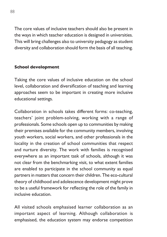The core values of inclusive teachers should also be present in the ways in which teacher education is designed in universities. This will bring challenges also to university pedagogy as student diversity and collaboration should form the basis of all teaching.

### **School development**

Taking the core values of inclusive education on the school level, collaboration and diversification of teaching and learning approaches seem to be important in creating more inclusive educational settings.

Collaboration in schools takes different forms: co-teaching, teachers' joint problem-solving, working with a range of professionals. Some schools open up to communities by making their premises available for the community members, involving youth workers, social workers, and other professionals in the locality in the creation of school communities that respect and nurture diversity. The work with families is recognised everywhere as an important task of schools, although it was not clear from the benchmarking visit, to what extent families are enabled to participate in the school community as equal partners in matters that concern their children. The eco-cultural theory of childhood and adolescence development might prove to be a useful framework for reflecting the role of the family in inclusive education.

All visited schools emphasised learner collaboration as an important aspect of learning. Although collaboration is emphasised, the education system may endorse competition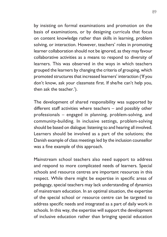by insisting on formal examinations and promotion on the basis of examinations, or by designing curricula that focus on content knowledge rather than skills in learning, problem solving, or interaction. However, teachers' roles in promoting learner collaboration should not be ignored, as they may favour collaborative activities as a means to respond to diversity of learners. This was observed in the ways in which teachers grouped the learners by changing the criteria of grouping, which promoted structures that increased learners' interaction ('If you don't know, ask your classmate first. If she/he can't help you, then ask the teacher.').

The development of shared responsibility was supported by different staff activities where teachers – and possibly other professionals – engaged in planning, problem-solving, and community-building. In inclusive settings, problem-solving should be based on dialogue: listening to and hearing all involved. Learners should be involved as a part of the solutions; the Danish example of class meetings led by the inclusion counsellor was a fine example of this approach.

Mainstream school teachers also need support to address and respond to more complicated needs of learners. Special schools and resource centres are important resources in this respect. While there might be expertise in specific areas of pedagogy, special teachers may lack understanding of dynamics of mainstream education. In an optimal situation, the expertise of the special school or resource centre can be targeted to address specific needs and integrated as a part of daily work in schools. In this way, the expertise will support the development of inclusive education rather than bringing special education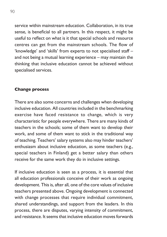service within mainstream education. Collaboration, in its true sense, is beneficial to all partners. In this respect, it might be useful to reflect on what is it that special schools and resource centres can get from the mainstream schools. The flow of 'knowledge' and 'skills' from experts to not specialised staff – and not being a mutual learning experience – may maintain the thinking that inclusive education cannot be achieved without specialised services.

### **Change process**

There are also some concerns and challenges when developing inclusive education. All countries included in the benchmarking exercise have faced resistance to change, which is very characteristic for people everywhere. There are many kinds of teachers in the schools; some of them want to develop their work, and some of them want to stick in the traditional way of teaching. Teachers' salary systems also may hinder teachers' enthusiasm about inclusive education, as some teachers (e.g., special teachers in Finland) get a better salary than others receive for the same work they do in inclusive settings.

If inclusive education is seen as a process, it is essential that all education professionals conceive of their work as ongoing development. This is, after all, one of the core values of inclusive teachers presented above. Ongoing development is connected with change processes that require individual commitment, shared understandings, and support from the leaders. In this process, there are disputes, varying intensity of commitment, and resistance. It seems that inclusive education moves forwards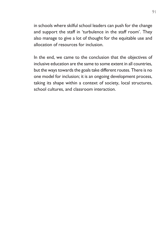in schools where skilful school leaders can push for the change and support the staff in 'turbulence in the staff room'. They also manage to give a lot of thought for the equitable use and allocation of resources for inclusion.

In the end, we came to the conclusion that the objectives of inclusive education are the same to some extent in all countries, but the ways towards the goals take different routes. There is no one model for inclusion; it is an ongoing development process, taking its shape within a context of society, local structures, school cultures, and classroom interaction.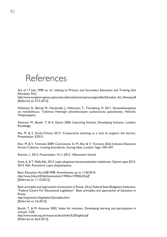

Act of 17 July 1998 no. 61 relating to Primary and Secondary Education and Training (the Education Act).

*http://www.european-agency.org/country-information/norway/norwegian-files/Education\_Act\_Norway.pd*f [Referred on 27.5.2013].

Ahtiainen, R., Beirad, M., Hautamäki, J., Hilasvuori, T., Thuneberg, H. 2011. Samanaikaisopetus on mahdollisuus. Tutkimus Helsingin pilottikoulujen uudistuvasta opetuksesta. Helsinki: Yliopistopaino.

Ainscow, M., Booth, T. & A. Dyson 2006. Improving Schools, Developing Inclusion. London: Routledge.

Ala, M. & S. Sivula-Chávez 2013. Cooperative teaching as a tool to support the learner. Presentation 3/2013.

Alur, M. & V. Timmons 2009. Conclusions. In: M. Alur & V. Timmons (Eds) Inclusive Education Across Cultures: crossing boundaries, sharing ideas. London: Sage, 430–447.

Åström, L. 2012. Presentation 14.11.2012. Välkomsten School.

Autti, A. & T. Mella Eds. 2012. Lapin yliopiston kasvatustieteiden tiedekunta. Opinto-opas 2012- 2014. Edit. Rovaniemi: Lapin yliopistopaino.

Basic Education Act 628/1998. Amendments up to 1136/2010. *http://www.finlex.fi/fi/laki/kaannokset/1998/en19980628.pdf*  [Referred on 11.10.2013].

Basic principles and approaches of education in Russia. (N.d.) Federal State Budgetary Institution. "Federal Centre For Educational Legislation". Basic principles and approaches of education in Russia. *http://eng.lexed.ru/legislation/?principles.html* [Referred on 3.6.2013].

Booth, T. & M. Ainscow 2002. Index for inclusion. Developing learning and participation in schools. CSIE. *http://www.eenet.org.uk/resources/docs/Index%20English.pdf*  [Referred on 26.6.2013].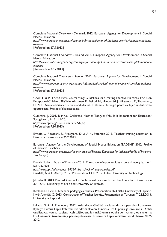Complete National Overview - Denmark 2012. European Agency for Development in Special Needs Education.

*http://www.european-agency.org/country-information/denmark/national-overview/complete-nationaloverview* 

[Referred on 27.5.2013].

Complete National Overview - Finland 2012. European Agency for Development in Special Needs Education. *http://www.european-agency.org/country-information/finland/national-overview/complete-nationaloverview*  [Referred on 27.5.2013].

Complete National Overview - Sweden 2013. European Agency for Development in Special Needs Education.

*http://www.european-agency.org/country-information/sweden/national-overview/complete-nationaloverview*

[Referred on 27.5.2013].

Cook, L. & M. Friend 1995. Co-teaching: Guidelines for Creating Effective Practices. Focus on Exceptional Children. 28 (3) In: Ahtiainen, R., Beirad, M., Hautamäki, J., Hilasvuori, T., Thuneberg, H. 2011. Samanaikaisopetus on mahdollisuus. Tutkimus Helsingin pilottikoulujen uudistuvasta opetuksesta. Helsinki: Yliopistopaino.

Cummins, J. 2001. Bilingual Children's Mother Tongue: Why Is It Important for Education? Sprogforum, 7(19), 15-20. *http://www.fiplv.org/Issues/CumminsENG.pdf*  [Referred on 7.10.2013)

Emtoft, L., Roesdahl, S., Ryesgaard, D. & A-K., Petersen 2013. Teacher training education in Denmark. Presentation 25.2.2013.

European Agency for the Development of Special Needs Education [EADSNE] 2012. Profile of Inclusive Teachers *http://www.european-agency.org/agency-projects/Teacher-Education-for-Inclusion/Profile-of-Inclusive-Teachers.pdf*

Finnish National Board of Education 2011. The school of opportunities - towards every learner's full potential.

*http://www.oph.fi/download/134584\_the\_school\_of\_opportunities.pdf* Gardelli, Å. & E. Alerby. 2012. Presentation 13.11.2012. Luleå University of Technology.

Jakhelln, R. 2013. ProTed. Center for Professional Learning in Teacher Education. Presentation 30.1.2013. University of Oslo and University of Tromso.

Koskinen, H. 2013. Teachers' pedagogical studies. Presentation 26.3.2013. University of Lapland. Kyrö-Ämmälä, O. 2013. Construction of Teacher Identity. Presentation by Turunen, T. 26.3.2013. University of Lapland.

Lakkala, S. & H. Thuneberg 2012. Inkluusioon tähtäävä koulunuudistus opettajien kokemana. Kyselytutkimus Lapin kehittämisverkkohankkeen kunnissa. In: Hippuja ja oivalluksia. Kohti osallistavaa koulua Lapissa. Kehittäjäopettajien näkökulmia oppilaiden kasvun, opiskelun ja koulunkäynnin tukeen esi- ja perusopetuksessa. Rovaniemi: Lapin kehittämisverkkohanke 2009- 2012.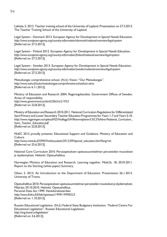Lakkala, S. 2013. Teacher training school of the University of Lapland. Presentation on 27.3.2013. The Teacher Training School of the University of Lapland.

Legal System - Denmark 2013. European Agency for Development in Special Needs Education. *http://www.european-agency.org/country-information/denmark/national-overview/legal-system*  [Referred on 27.5.2013].

Legal System - Finland 2012. European Agency for Development in Special Needs Education. *http://www.european-agency.org/country-information/finland/national-overview/legal-system*  [Referred on 27.5.2013].

Legal System - Sweden 2013. European Agency for Development in Special Needs Education. *http://www.european-agency.org/country-information/sweden/national-overview/legal-system* [Referred on 27.5.2013].

Metsokangas comprehensive school. (N.d.) Vision: "Our Metsokangas". *http://www.ouka.fi/oulu/metsokangas-comprehensive-school/our-aims*  [Referred on 6.11.2012].

Ministry of Education and Research 2004. Regeringskansliet. Government Offices of Sweden. Areas of responsibility. *http://www.government.se/sb/d/2063/a/21953* [Referred on 22.8.2013].

Ministry of Education and Research 2010-2011. National Curriculum Regulations for Differentiated Sami Primary and Lower Secondary Teacher Education Programmes for Years 1-7 and Years 5-10. *http://www.regjeringen.no/upload/KD/Vedlegg/UH/Rammeplaner/L%C3%A6rer/National\_Curriculum\_ Sami\_Teacher\_Education.pdf*  [Referred on 22.8.2013].

MoEC 2012 proudly presents: Educational Support and Guidance. Ministry of Education and Culture.

*http://www.minedu.fi/OPM/Verkkouutiset/2012/09/special\_education.html?lang=en* [Referred on 25.6.2013].

National Core Curriculum 2010. Perusopetuksen opetussuunnitelman perusteiden muutokset ja täydennykset. Helsinki: Opetushallitus.

Norwegian Ministry of Education and Research. Learning together. Meld.St. 18, 2010-2011. Report to the Storting (white paper) Summary.

Olsen, S. 2013. An Introduction to the Department of Education. Presentation 26.1.2013. University of Troms.

Opetushallitus 2010. Perusopetuksen opetussuunnitelman perusteiden muutokset ja täydennykset. Määräys 29.10.2010. Helsinki: Opetushallitus. Personal Data Act 1999. Henkilörekisterilaki. *http://www.finlex.fi/fi/laki/ajantasa/1999/19990523*  [Referred on 1.10.2013].

Russian Educational Legislation. (N.d.) Federal State Budgetary Institution. "Federal Centre For Educational Legislation". Russian Educational Legislation. *http://eng.lexed.ru/legislation/* [Referred on 3.6.2013].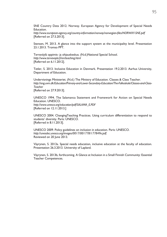SNE Country Data 2012. Norway. European Agency for Development of Special Needs Education.

*http://www.european-agency.org/country-information/norway/norwegian-files/NORWAY-SNE.pdf*  [Referred on 27.5.2013].

Stensen, M. 2013. A glance into the support system at the municipality level. Presentation 23.1.2013. Tromso PPT.

Tervaväylä oppimis- ja ohjauskeskus. (N.d.)National Special School. *http://www.tervavayla.fi/en/teaching.html* [Referred on 6.11.2012].

Tetler, S. 2013. Inclusive Education in Denmark. Presentation 19.2.2013. Aarhus University, Department of Education.

Undervisnings Ministeriet. (N.d.) The Ministry of Education. Classes & Class Teacher. *http://eng.uvm.dk/Education/Primary-and-Lower-Secondary-Education/The-Folkeskole/Classes-and-Class-Teacher* [Referred on 27.9.2013].

UNESCO 1994. The Salamanca Statement and Framework for Action on Special Needs Education. UNESCO. *http://www.unesco.org/education/pdf/SALAMA\_E.PDF* [Referred on 12.11.2013.]

UNESCO 2004. ChangingTeaching Practices. Using curriculum differentiation to respond to students' diversity. Paris: UNESCO. [Referred in 8.11.2013].

UNESCO 2009. Policy guidelines on inclusion in education. Paris: UNESCO. *http://unesdoc.unesco.org/images/0017/001778/177849e.pdf.* Reviewed on 20 June 2013.

Väyrynen, S. 2013a. Special needs education, inclusive education at the faculty of education. Presentation 26.3.2013. University of Lapland.

Väyrynen, S. 2013b, forthcoming. A Glance at Inclusion in a Small Finnish Community: Essential Teacher Competences.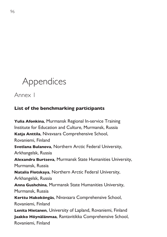# Appendices

Annex 1

### **List of the benchmarking participants**

**Yulia Afonkina**, Murmansk Regional In-service Training Institute for Education and Culture, Murmansk, Russia **Katja Anttila**, Nivavaara Comprehensive School, Rovaniemi, Finland **Svetlana Bulanova**, Northern Arctic Federal University, Arkhangelsk, Russia **Alexandra Burtseva**, Murmansk State Humanities University, Murmansk, Russia **Natalia Flotskaya**, Northern Arctic Federal University, Arkhangelsk, Russia **Anna Gushchina**, Murmansk State Humanities University, Murmansk, Russia **Kerttu Hakoköngäs**, Nivavaara Comprehensive School, Rovaniemi, Finland **Lenita Hietanen**, University of Lapland, Rovaniemi, Finland **Jaakko Höynälänmaa**, Rantavitikka Comprehensive School, Rovaniemi, Finland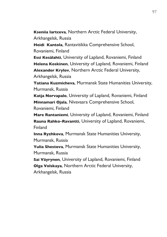**Kseniia Iartceva**, Northern Arctic Federal University,

Arkhangelsk, Russia

**Heidi Kantola**, Rantavitikka Comprehensive School, Rovaniemi, Finland

**Essi Kesälahti**, University of Lapland, Rovaniemi, Finland **Helena Koskinen**, University of Lapland, Rovaniemi, Finland **Alexander Krylov**, Northern Arctic Federal University, Arkhangelsk, Russia

**Tatiana Kuzmicheva**, Murmansk State Humanities University, Murmansk, Russia

**Katja Norvapalo**, University of Lapland, Rovaniemi, Finland **Minnamari Ojala**, Nivavaara Comprehensive School, Rovaniemi, Finland

**Mare Rantaniemi**, University of Lapland, Rovaniemi, Finland **Rauna Rahko-Ravantti**, University of Lapland, Rovaniemi, **Finland** 

**Inna Ryzhkova**, Murmansk State Humanities University, Murmansk, Russia

**Yulia Shestova**, Murmansk State Humanities University, Murmansk, Russia

**Sai Väyrynen**, University of Lapland, Rovaniemi, Finland **Olga Volskaya**, Northern Arctic Federal University, Arkhangelsk, Russia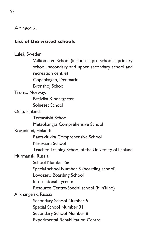### Annex 2.

### **List of the visited schools**

Luleå, Sweden: Välkomsten School (includes a pre-school, a primary school, secondary and upper secondary school and recreation centre) Copenhagen, Denmark: Brønshøj School Troms, Norway: Breivika Kindergarten Solneset School Oulu, Finland: Tervaväylä School Metsokangas Comprehensive School Rovaniemi, Finland: Rantavitikka Comprehensive School Nivavaara School Teacher Training School of the University of Lapland Murmansk, Russia: School Number 56 Special school Number 3 (boarding school) Lovozero Boarding School International Lyceum Resource Centre/Special school (Min'kino) Arkhangelsk, Russia Secondary School Number 5 Special School Number 31 Secondary School Number 8 Experimental Rehabilitation Centre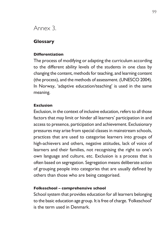### Annex 3.

### **Glossary**

### **Differentiation**

The process of modifying or adapting the curriculum according to the different ability levels of the students in one class by changing the content, methods for teaching, and learning content (the process), and the methods of assessment. (UNESCO 2004). In Norway, 'adaptive education/teaching' is used in the same meaning.

### **Exclusion**

Exclusion, in the context of inclusive education, refers to all those factors that may limit or hinder all learners' participation in and access to presence, participation and achievement. Exclusionary pressures may arise from special classes in mainstream schools, practices that are used to categorise learners into groups of high-achievers and others, negative attitudes, lack of voice of learners and their families, not recognising the right to one's own language and culture, etc. Exclusion is a process that is often based on segregation. Segregation means deliberate action of grouping people into categories that are usually defined by others than those who are being categorised.

### **Folkeschool – comprehensive school**

School system that provides education for all learners belonging to the basic education age group. It is free of charge. 'Folkeschool' is the term used in Denmark.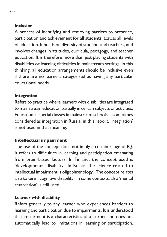### **Inclusion**

A process of identifying and removing barriers to presence, participation and achievement for all students, across all levels of education. It builds on diversity of students and teachers, and involves changes in attitudes, curricula, pedagogy, and teacher education. It is therefore more than just placing students with disabilities or learning difficulties in mainstream settings. In this thinking, all education arrangements should be inclusive even if there are no learners categorised as having any particular educational needs.

#### **Integration**

Refers to practice where learners with disabilities are integrated to mainstream education partially in certain subjects or activities. Education in special classes in mainstream schools is sometimes considered as integration in Russia; in this report, 'integration' is not used in that meaning.

### **Intellectual impairment**

The use of the concept does not imply a certain range of IQ. It refers to difficulties in learning and participation emanating from brain-based factors. In Finland, the concept used is 'developmental disability'. In Russia, the science related to intellectual impairment is oligophrenology. The concept relates also to term 'cognitive disability'. In some contexts, also 'mental retardation' is still used.

#### **Learner with disability**

Refers generally to any learner who experiences barriers to learning and participation due to impairments. It is understood that impairment is a characteristics of a learner and does not automatically lead to limitations in learning or participation.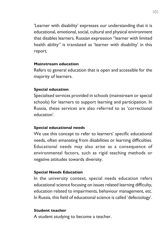'Learner with disability' expresses our understanding that it is educational, emotional, social, cultural and physical environment that disables learners. Russian expression "learner with limited health ability" is translated as 'learner with disability' in this report.

#### **Mainstream education**

Refers to general education that is open and accessible for the majority of learners.

### **Special education**

Specialised services provided in schools (mainstream or special schools) for learners to support learning and participation. In Russia, these services are also referred to as 'correctional education'.

### **Special educational needs**

We use this concept to refer to learners' specific educational needs, often emanating from disabilities or learning difficulties. Educational needs may also arise as a consequence of environmental factors, such as rigid teaching methods or negative attitudes towards diversity.

### **Special Needs Education**

In the university context, special needs education refers educational science focusing on issues related learning difficulty, education related to impairments, behaviour management, etc. In Russia, this field of educational science is called 'defectology'.

### **Student teacher**

A student studying to become a teacher.